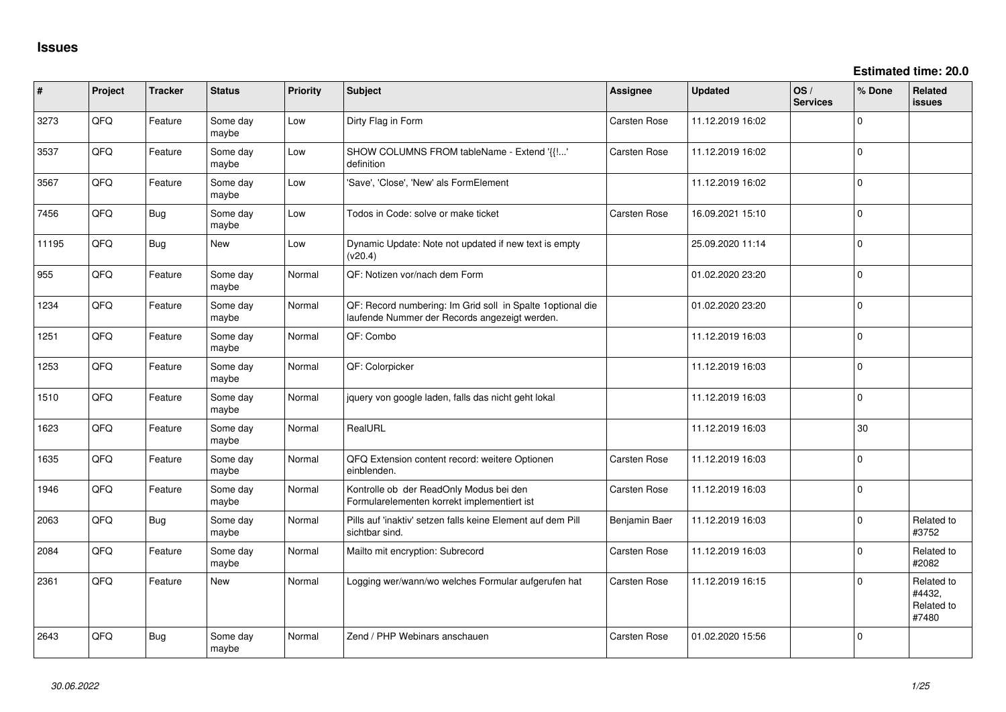| #     | Project | <b>Tracker</b> | <b>Status</b>     | <b>Priority</b> | Subject                                                                                                      | Assignee            | <b>Updated</b>   | OS/<br><b>Services</b> | % Done      | Related<br><b>issues</b>                    |
|-------|---------|----------------|-------------------|-----------------|--------------------------------------------------------------------------------------------------------------|---------------------|------------------|------------------------|-------------|---------------------------------------------|
| 3273  | QFQ     | Feature        | Some day<br>maybe | Low             | Dirty Flag in Form                                                                                           | Carsten Rose        | 11.12.2019 16:02 |                        | $\Omega$    |                                             |
| 3537  | QFQ     | Feature        | Some day<br>maybe | Low             | SHOW COLUMNS FROM tableName - Extend '{{!'<br>definition                                                     | <b>Carsten Rose</b> | 11.12.2019 16:02 |                        | $\mathbf 0$ |                                             |
| 3567  | QFQ     | Feature        | Some day<br>maybe | Low             | 'Save', 'Close', 'New' als FormElement                                                                       |                     | 11.12.2019 16:02 |                        | $\mathbf 0$ |                                             |
| 7456  | QFQ     | Bug            | Some day<br>maybe | Low             | Todos in Code: solve or make ticket                                                                          | Carsten Rose        | 16.09.2021 15:10 |                        | $\mathbf 0$ |                                             |
| 11195 | QFQ     | Bug            | New               | Low             | Dynamic Update: Note not updated if new text is empty<br>(v20.4)                                             |                     | 25.09.2020 11:14 |                        | $\Omega$    |                                             |
| 955   | QFQ     | Feature        | Some day<br>maybe | Normal          | QF: Notizen vor/nach dem Form                                                                                |                     | 01.02.2020 23:20 |                        | $\mathbf 0$ |                                             |
| 1234  | QFQ     | Feature        | Some day<br>maybe | Normal          | QF: Record numbering: Im Grid soll in Spalte 1 optional die<br>laufende Nummer der Records angezeigt werden. |                     | 01.02.2020 23:20 |                        | $\Omega$    |                                             |
| 1251  | QFQ     | Feature        | Some day<br>maybe | Normal          | QF: Combo                                                                                                    |                     | 11.12.2019 16:03 |                        | $\mathbf 0$ |                                             |
| 1253  | QFQ     | Feature        | Some day<br>maybe | Normal          | QF: Colorpicker                                                                                              |                     | 11.12.2019 16:03 |                        | $\Omega$    |                                             |
| 1510  | QFQ     | Feature        | Some day<br>maybe | Normal          | jquery von google laden, falls das nicht geht lokal                                                          |                     | 11.12.2019 16:03 |                        | $\mathbf 0$ |                                             |
| 1623  | QFQ     | Feature        | Some day<br>maybe | Normal          | RealURL                                                                                                      |                     | 11.12.2019 16:03 |                        | 30          |                                             |
| 1635  | QFQ     | Feature        | Some day<br>maybe | Normal          | QFQ Extension content record: weitere Optionen<br>einblenden.                                                | Carsten Rose        | 11.12.2019 16:03 |                        | $\mathbf 0$ |                                             |
| 1946  | QFQ     | Feature        | Some day<br>maybe | Normal          | Kontrolle ob der ReadOnly Modus bei den<br>Formularelementen korrekt implementiert ist                       | Carsten Rose        | 11.12.2019 16:03 |                        | $\Omega$    |                                             |
| 2063  | QFQ     | Bug            | Some day<br>maybe | Normal          | Pills auf 'inaktiv' setzen falls keine Element auf dem Pill<br>sichtbar sind.                                | Benjamin Baer       | 11.12.2019 16:03 |                        | $\mathbf 0$ | Related to<br>#3752                         |
| 2084  | QFQ     | Feature        | Some day<br>maybe | Normal          | Mailto mit encryption: Subrecord                                                                             | Carsten Rose        | 11.12.2019 16:03 |                        | $\Omega$    | Related to<br>#2082                         |
| 2361  | QFQ     | Feature        | <b>New</b>        | Normal          | Logging wer/wann/wo welches Formular aufgerufen hat                                                          | Carsten Rose        | 11.12.2019 16:15 |                        | $\Omega$    | Related to<br>#4432,<br>Related to<br>#7480 |
| 2643  | QFQ     | Bug            | Some day<br>maybe | Normal          | Zend / PHP Webinars anschauen                                                                                | <b>Carsten Rose</b> | 01.02.2020 15:56 |                        | $\Omega$    |                                             |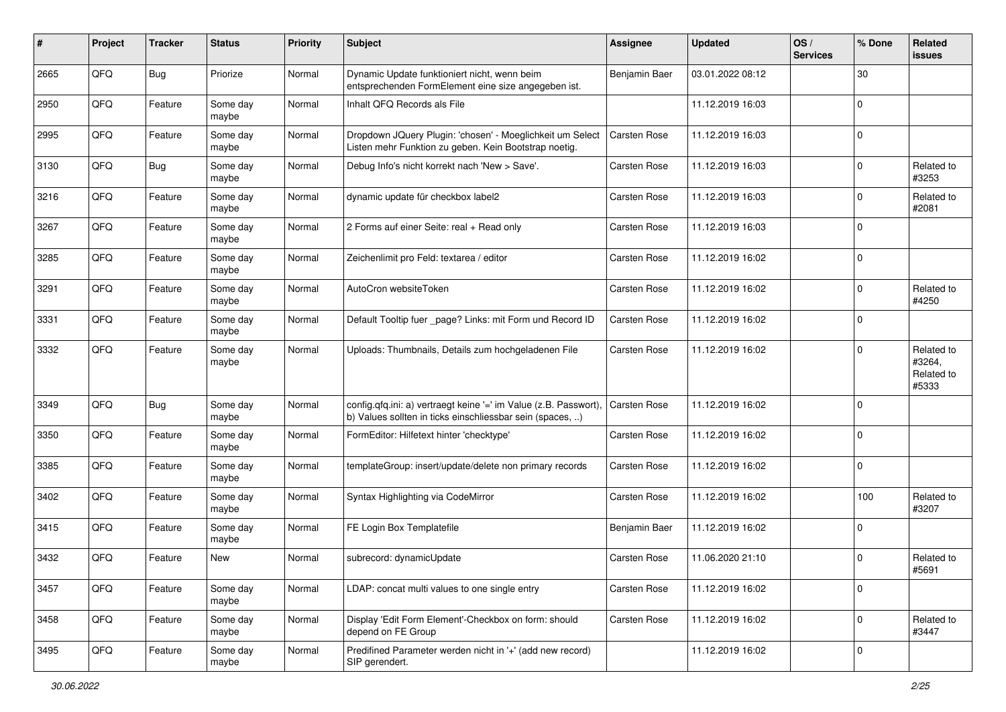| ∦    | Project | <b>Tracker</b> | <b>Status</b>     | Priority | Subject                                                                                                                       | Assignee      | <b>Updated</b>   | OS/<br><b>Services</b> | % Done      | Related<br><b>issues</b>                    |
|------|---------|----------------|-------------------|----------|-------------------------------------------------------------------------------------------------------------------------------|---------------|------------------|------------------------|-------------|---------------------------------------------|
| 2665 | QFQ     | Bug            | Priorize          | Normal   | Dynamic Update funktioniert nicht, wenn beim<br>entsprechenden FormElement eine size angegeben ist.                           | Benjamin Baer | 03.01.2022 08:12 |                        | 30          |                                             |
| 2950 | QFQ     | Feature        | Some day<br>maybe | Normal   | Inhalt QFQ Records als File                                                                                                   |               | 11.12.2019 16:03 |                        | $\mathbf 0$ |                                             |
| 2995 | QFQ     | Feature        | Some day<br>maybe | Normal   | Dropdown JQuery Plugin: 'chosen' - Moeglichkeit um Select<br>Listen mehr Funktion zu geben. Kein Bootstrap noetig.            | Carsten Rose  | 11.12.2019 16:03 |                        | $\Omega$    |                                             |
| 3130 | QFQ     | Bug            | Some day<br>maybe | Normal   | Debug Info's nicht korrekt nach 'New > Save'.                                                                                 | Carsten Rose  | 11.12.2019 16:03 |                        | $\Omega$    | Related to<br>#3253                         |
| 3216 | QFQ     | Feature        | Some day<br>maybe | Normal   | dynamic update für checkbox label2                                                                                            | Carsten Rose  | 11.12.2019 16:03 |                        | $\Omega$    | Related to<br>#2081                         |
| 3267 | QFQ     | Feature        | Some day<br>maybe | Normal   | 2 Forms auf einer Seite: real + Read only                                                                                     | Carsten Rose  | 11.12.2019 16:03 |                        | $\Omega$    |                                             |
| 3285 | QFQ     | Feature        | Some day<br>maybe | Normal   | Zeichenlimit pro Feld: textarea / editor                                                                                      | Carsten Rose  | 11.12.2019 16:02 |                        | $\Omega$    |                                             |
| 3291 | QFQ     | Feature        | Some day<br>maybe | Normal   | AutoCron websiteToken                                                                                                         | Carsten Rose  | 11.12.2019 16:02 |                        | $\Omega$    | Related to<br>#4250                         |
| 3331 | QFQ     | Feature        | Some day<br>maybe | Normal   | Default Tooltip fuer _page? Links: mit Form und Record ID                                                                     | Carsten Rose  | 11.12.2019 16:02 |                        | $\mathbf 0$ |                                             |
| 3332 | QFQ     | Feature        | Some day<br>maybe | Normal   | Uploads: Thumbnails, Details zum hochgeladenen File                                                                           | Carsten Rose  | 11.12.2019 16:02 |                        | $\Omega$    | Related to<br>#3264,<br>Related to<br>#5333 |
| 3349 | QFQ     | Bug            | Some day<br>maybe | Normal   | config.qfq.ini: a) vertraegt keine '=' im Value (z.B. Passwort),<br>b) Values sollten in ticks einschliessbar sein (spaces, ) | Carsten Rose  | 11.12.2019 16:02 |                        | $\mathbf 0$ |                                             |
| 3350 | QFQ     | Feature        | Some day<br>maybe | Normal   | FormEditor: Hilfetext hinter 'checktype'                                                                                      | Carsten Rose  | 11.12.2019 16:02 |                        | $\Omega$    |                                             |
| 3385 | QFQ     | Feature        | Some day<br>maybe | Normal   | templateGroup: insert/update/delete non primary records                                                                       | Carsten Rose  | 11.12.2019 16:02 |                        | $\Omega$    |                                             |
| 3402 | QFQ     | Feature        | Some day<br>maybe | Normal   | Syntax Highlighting via CodeMirror                                                                                            | Carsten Rose  | 11.12.2019 16:02 |                        | 100         | Related to<br>#3207                         |
| 3415 | QFQ     | Feature        | Some day<br>maybe | Normal   | FE Login Box Templatefile                                                                                                     | Benjamin Baer | 11.12.2019 16:02 |                        | $\mathbf 0$ |                                             |
| 3432 | QFQ     | Feature        | <b>New</b>        | Normal   | subrecord: dynamicUpdate                                                                                                      | Carsten Rose  | 11.06.2020 21:10 |                        | $\Omega$    | Related to<br>#5691                         |
| 3457 | QFQ     | Feature        | Some day<br>maybe | Normal   | LDAP: concat multi values to one single entry                                                                                 | Carsten Rose  | 11.12.2019 16:02 |                        | $\mathbf 0$ |                                             |
| 3458 | QFQ     | Feature        | Some day<br>maybe | Normal   | Display 'Edit Form Element'-Checkbox on form: should<br>depend on FE Group                                                    | Carsten Rose  | 11.12.2019 16:02 |                        | $\mathbf 0$ | Related to<br>#3447                         |
| 3495 | QFQ     | Feature        | Some day<br>maybe | Normal   | Predifined Parameter werden nicht in '+' (add new record)<br>SIP gerendert.                                                   |               | 11.12.2019 16:02 |                        | $\mathbf 0$ |                                             |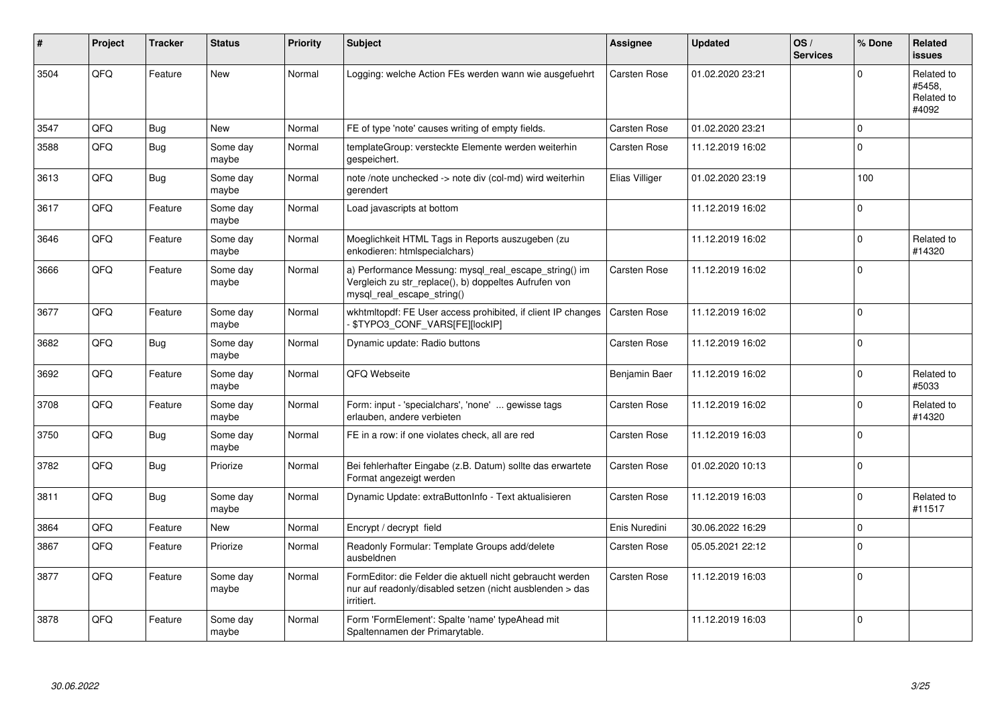| $\vert$ # | Project | <b>Tracker</b> | <b>Status</b>     | <b>Priority</b> | <b>Subject</b>                                                                                                                               | Assignee            | <b>Updated</b>   | OS/<br><b>Services</b> | % Done      | Related<br><b>issues</b>                    |
|-----------|---------|----------------|-------------------|-----------------|----------------------------------------------------------------------------------------------------------------------------------------------|---------------------|------------------|------------------------|-------------|---------------------------------------------|
| 3504      | QFQ     | Feature        | <b>New</b>        | Normal          | Logging: welche Action FEs werden wann wie ausgefuehrt                                                                                       | <b>Carsten Rose</b> | 01.02.2020 23:21 |                        | $\Omega$    | Related to<br>#5458,<br>Related to<br>#4092 |
| 3547      | QFQ     | <b>Bug</b>     | <b>New</b>        | Normal          | FE of type 'note' causes writing of empty fields.                                                                                            | <b>Carsten Rose</b> | 01.02.2020 23:21 |                        | $\mathbf 0$ |                                             |
| 3588      | QFQ     | <b>Bug</b>     | Some day<br>maybe | Normal          | templateGroup: versteckte Elemente werden weiterhin<br>gespeichert.                                                                          | Carsten Rose        | 11.12.2019 16:02 |                        | $\Omega$    |                                             |
| 3613      | QFQ     | Bug            | Some day<br>maybe | Normal          | note /note unchecked -> note div (col-md) wird weiterhin<br>gerendert                                                                        | Elias Villiger      | 01.02.2020 23:19 |                        | 100         |                                             |
| 3617      | QFQ     | Feature        | Some day<br>maybe | Normal          | Load javascripts at bottom                                                                                                                   |                     | 11.12.2019 16:02 |                        | $\mathbf 0$ |                                             |
| 3646      | QFQ     | Feature        | Some day<br>maybe | Normal          | Moeglichkeit HTML Tags in Reports auszugeben (zu<br>enkodieren: htmlspecialchars)                                                            |                     | 11.12.2019 16:02 |                        | $\Omega$    | Related to<br>#14320                        |
| 3666      | QFQ     | Feature        | Some day<br>maybe | Normal          | a) Performance Messung: mysql_real_escape_string() im<br>Vergleich zu str_replace(), b) doppeltes Aufrufen von<br>mysql real escape string() | <b>Carsten Rose</b> | 11.12.2019 16:02 |                        | $\Omega$    |                                             |
| 3677      | QFQ     | Feature        | Some dav<br>maybe | Normal          | wkhtmitopdf: FE User access prohibited, if client IP changes<br>\$TYPO3_CONF_VARS[FE][lockIP]                                                | <b>Carsten Rose</b> | 11.12.2019 16:02 |                        | $\Omega$    |                                             |
| 3682      | QFQ     | Bug            | Some day<br>maybe | Normal          | Dynamic update: Radio buttons                                                                                                                | Carsten Rose        | 11.12.2019 16:02 |                        | $\Omega$    |                                             |
| 3692      | QFQ     | Feature        | Some day<br>maybe | Normal          | QFQ Webseite                                                                                                                                 | Benjamin Baer       | 11.12.2019 16:02 |                        | $\Omega$    | Related to<br>#5033                         |
| 3708      | QFQ     | Feature        | Some day<br>maybe | Normal          | Form: input - 'specialchars', 'none'  gewisse tags<br>erlauben, andere verbieten                                                             | <b>Carsten Rose</b> | 11.12.2019 16:02 |                        | $\Omega$    | Related to<br>#14320                        |
| 3750      | QFQ     | Bug            | Some day<br>maybe | Normal          | FE in a row: if one violates check, all are red                                                                                              | <b>Carsten Rose</b> | 11.12.2019 16:03 |                        | $\Omega$    |                                             |
| 3782      | QFQ     | Bug            | Priorize          | Normal          | Bei fehlerhafter Eingabe (z.B. Datum) sollte das erwartete<br>Format angezeigt werden                                                        | <b>Carsten Rose</b> | 01.02.2020 10:13 |                        | $\Omega$    |                                             |
| 3811      | QFQ     | <b>Bug</b>     | Some day<br>maybe | Normal          | Dynamic Update: extraButtonInfo - Text aktualisieren                                                                                         | <b>Carsten Rose</b> | 11.12.2019 16:03 |                        | $\Omega$    | Related to<br>#11517                        |
| 3864      | QFQ     | Feature        | <b>New</b>        | Normal          | Encrypt / decrypt field                                                                                                                      | Enis Nuredini       | 30.06.2022 16:29 |                        | $\Omega$    |                                             |
| 3867      | QFQ     | Feature        | Priorize          | Normal          | Readonly Formular: Template Groups add/delete<br>ausbeldnen                                                                                  | <b>Carsten Rose</b> | 05.05.2021 22:12 |                        | $\Omega$    |                                             |
| 3877      | QFQ     | Feature        | Some day<br>maybe | Normal          | FormEditor: die Felder die aktuell nicht gebraucht werden<br>nur auf readonly/disabled setzen (nicht ausblenden > das<br>irritiert.          | <b>Carsten Rose</b> | 11.12.2019 16:03 |                        | $\Omega$    |                                             |
| 3878      | QFQ     | Feature        | Some day<br>maybe | Normal          | Form 'FormElement': Spalte 'name' typeAhead mit<br>Spaltennamen der Primarytable.                                                            |                     | 11.12.2019 16:03 |                        | $\Omega$    |                                             |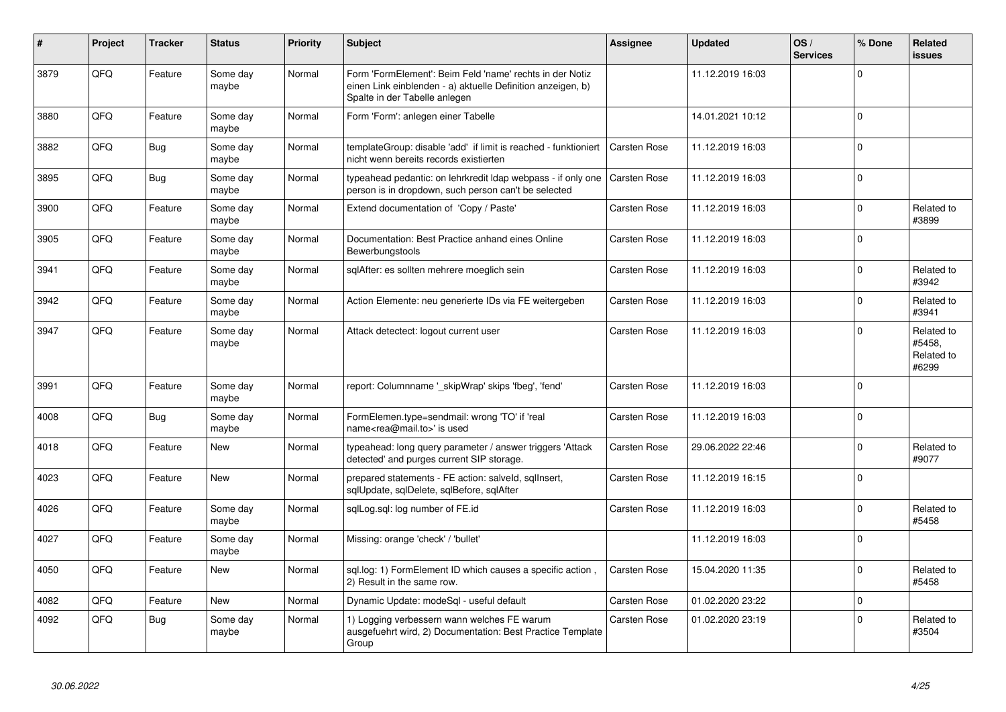| #    | Project | <b>Tracker</b> | <b>Status</b>     | <b>Priority</b> | <b>Subject</b>                                                                                                                                           | Assignee            | <b>Updated</b>   | OS/<br><b>Services</b> | % Done      | Related<br><b>issues</b>                    |
|------|---------|----------------|-------------------|-----------------|----------------------------------------------------------------------------------------------------------------------------------------------------------|---------------------|------------------|------------------------|-------------|---------------------------------------------|
| 3879 | QFQ     | Feature        | Some day<br>maybe | Normal          | Form 'FormElement': Beim Feld 'name' rechts in der Notiz<br>einen Link einblenden - a) aktuelle Definition anzeigen, b)<br>Spalte in der Tabelle anlegen |                     | 11.12.2019 16:03 |                        | $\Omega$    |                                             |
| 3880 | QFQ     | Feature        | Some day<br>maybe | Normal          | Form 'Form': anlegen einer Tabelle                                                                                                                       |                     | 14.01.2021 10:12 |                        | $\Omega$    |                                             |
| 3882 | QFQ     | <b>Bug</b>     | Some day<br>maybe | Normal          | templateGroup: disable 'add' if limit is reached - funktioniert<br>nicht wenn bereits records existierten                                                | <b>Carsten Rose</b> | 11.12.2019 16:03 |                        | $\Omega$    |                                             |
| 3895 | QFQ     | Bug            | Some day<br>maybe | Normal          | typeahead pedantic: on lehrkredit Idap webpass - if only one<br>person is in dropdown, such person can't be selected                                     | Carsten Rose        | 11.12.2019 16:03 |                        | $\Omega$    |                                             |
| 3900 | QFQ     | Feature        | Some day<br>maybe | Normal          | Extend documentation of 'Copy / Paste'                                                                                                                   | Carsten Rose        | 11.12.2019 16:03 |                        | $\Omega$    | Related to<br>#3899                         |
| 3905 | QFQ     | Feature        | Some day<br>maybe | Normal          | Documentation: Best Practice anhand eines Online<br>Bewerbungstools                                                                                      | Carsten Rose        | 11.12.2019 16:03 |                        | $\Omega$    |                                             |
| 3941 | QFQ     | Feature        | Some day<br>maybe | Normal          | sqlAfter: es sollten mehrere moeglich sein                                                                                                               | Carsten Rose        | 11.12.2019 16:03 |                        | $\Omega$    | Related to<br>#3942                         |
| 3942 | QFQ     | Feature        | Some day<br>maybe | Normal          | Action Elemente: neu generierte IDs via FE weitergeben                                                                                                   | Carsten Rose        | 11.12.2019 16:03 |                        | $\Omega$    | Related to<br>#3941                         |
| 3947 | QFQ     | Feature        | Some day<br>maybe | Normal          | Attack detectect: logout current user                                                                                                                    | Carsten Rose        | 11.12.2019 16:03 |                        | $\Omega$    | Related to<br>#5458,<br>Related to<br>#6299 |
| 3991 | QFQ     | Feature        | Some day<br>maybe | Normal          | report: Columnname ' skipWrap' skips 'fbeg', 'fend'                                                                                                      | Carsten Rose        | 11.12.2019 16:03 |                        | $\Omega$    |                                             |
| 4008 | QFQ     | <b>Bug</b>     | Some day<br>maybe | Normal          | FormElemen.type=sendmail: wrong 'TO' if 'real<br>name <rea@mail.to>' is used</rea@mail.to>                                                               | <b>Carsten Rose</b> | 11.12.2019 16:03 |                        | $\Omega$    |                                             |
| 4018 | QFQ     | Feature        | New               | Normal          | typeahead: long query parameter / answer triggers 'Attack<br>detected' and purges current SIP storage.                                                   | Carsten Rose        | 29.06.2022 22:46 |                        | $\Omega$    | Related to<br>#9077                         |
| 4023 | QFQ     | Feature        | <b>New</b>        | Normal          | prepared statements - FE action: salveld, sgllnsert,<br>sqlUpdate, sqlDelete, sqlBefore, sqlAfter                                                        | Carsten Rose        | 11.12.2019 16:15 |                        | $\Omega$    |                                             |
| 4026 | QFQ     | Feature        | Some day<br>maybe | Normal          | sqlLog.sql: log number of FE.id                                                                                                                          | <b>Carsten Rose</b> | 11.12.2019 16:03 |                        | $\Omega$    | Related to<br>#5458                         |
| 4027 | QFQ     | Feature        | Some day<br>maybe | Normal          | Missing: orange 'check' / 'bullet'                                                                                                                       |                     | 11.12.2019 16:03 |                        | $\Omega$    |                                             |
| 4050 | QFQ     | Feature        | New               | Normal          | sql.log: 1) FormElement ID which causes a specific action,<br>2) Result in the same row.                                                                 | Carsten Rose        | 15.04.2020 11:35 |                        | $\Omega$    | Related to<br>#5458                         |
| 4082 | QFQ     | Feature        | <b>New</b>        | Normal          | Dynamic Update: modeSql - useful default                                                                                                                 | Carsten Rose        | 01.02.2020 23:22 |                        | $\mathbf 0$ |                                             |
| 4092 | QFQ     | Bug            | Some day<br>maybe | Normal          | 1) Logging verbessern wann welches FE warum<br>ausgefuehrt wird, 2) Documentation: Best Practice Template<br>Group                                       | <b>Carsten Rose</b> | 01.02.2020 23:19 |                        | $\Omega$    | Related to<br>#3504                         |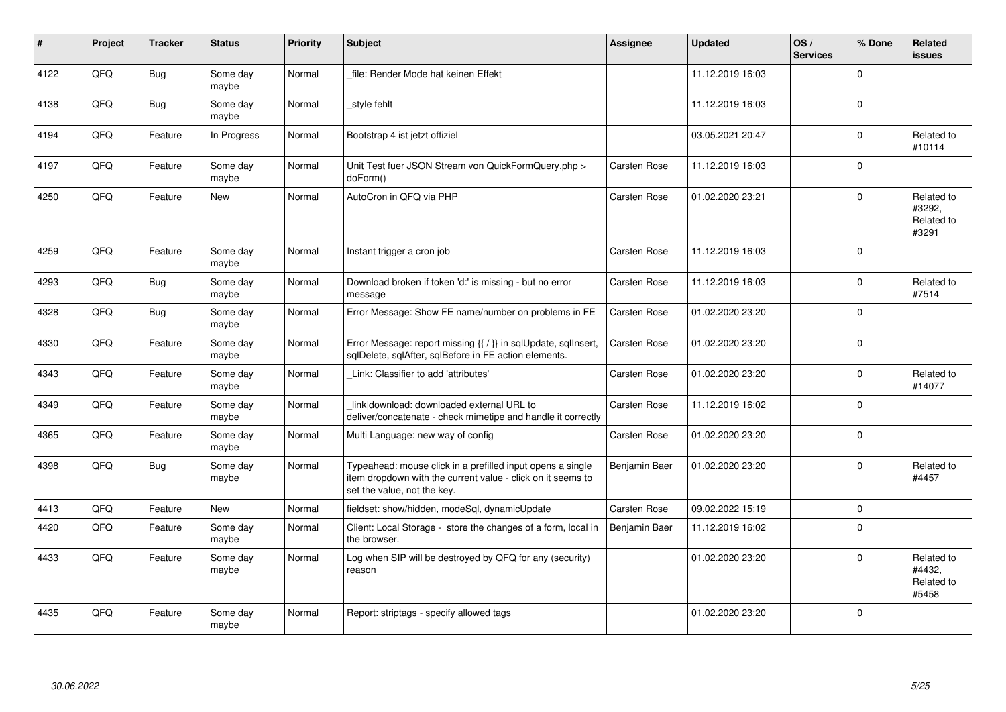| ∦    | Project    | <b>Tracker</b> | <b>Status</b>     | <b>Priority</b> | <b>Subject</b>                                                                                                                                           | Assignee            | <b>Updated</b>   | OS/<br><b>Services</b> | % Done   | Related<br>issues                           |
|------|------------|----------------|-------------------|-----------------|----------------------------------------------------------------------------------------------------------------------------------------------------------|---------------------|------------------|------------------------|----------|---------------------------------------------|
| 4122 | QFQ        | Bug            | Some day<br>maybe | Normal          | file: Render Mode hat keinen Effekt                                                                                                                      |                     | 11.12.2019 16:03 |                        | $\Omega$ |                                             |
| 4138 | QFQ        | Bug            | Some day<br>maybe | Normal          | style fehlt                                                                                                                                              |                     | 11.12.2019 16:03 |                        | $\Omega$ |                                             |
| 4194 | QFQ        | Feature        | In Progress       | Normal          | Bootstrap 4 ist jetzt offiziel                                                                                                                           |                     | 03.05.2021 20:47 |                        | $\Omega$ | Related to<br>#10114                        |
| 4197 | QFQ        | Feature        | Some day<br>maybe | Normal          | Unit Test fuer JSON Stream von QuickFormQuery.php ><br>doForm()                                                                                          | <b>Carsten Rose</b> | 11.12.2019 16:03 |                        | $\Omega$ |                                             |
| 4250 | QFQ        | Feature        | <b>New</b>        | Normal          | AutoCron in QFQ via PHP                                                                                                                                  | <b>Carsten Rose</b> | 01.02.2020 23:21 |                        | $\Omega$ | Related to<br>#3292,<br>Related to<br>#3291 |
| 4259 | QFQ        | Feature        | Some day<br>maybe | Normal          | Instant trigger a cron job                                                                                                                               | Carsten Rose        | 11.12.2019 16:03 |                        | $\Omega$ |                                             |
| 4293 | QFQ        | Bug            | Some day<br>maybe | Normal          | Download broken if token 'd:' is missing - but no error<br>message                                                                                       | Carsten Rose        | 11.12.2019 16:03 |                        | $\Omega$ | Related to<br>#7514                         |
| 4328 | QFQ        | <b>Bug</b>     | Some day<br>maybe | Normal          | Error Message: Show FE name/number on problems in FE                                                                                                     | Carsten Rose        | 01.02.2020 23:20 |                        | $\Omega$ |                                             |
| 4330 | QFQ        | Feature        | Some day<br>maybe | Normal          | Error Message: report missing {{ / }} in sqlUpdate, sqlInsert,<br>sqlDelete, sqlAfter, sqlBefore in FE action elements.                                  | <b>Carsten Rose</b> | 01.02.2020 23:20 |                        | $\Omega$ |                                             |
| 4343 | QFQ        | Feature        | Some day<br>maybe | Normal          | Link: Classifier to add 'attributes'                                                                                                                     | <b>Carsten Rose</b> | 01.02.2020 23:20 |                        | $\Omega$ | Related to<br>#14077                        |
| 4349 | QFQ        | Feature        | Some day<br>maybe | Normal          | link download: downloaded external URL to<br>deliver/concatenate - check mimetipe and handle it correctly                                                | <b>Carsten Rose</b> | 11.12.2019 16:02 |                        | $\Omega$ |                                             |
| 4365 | <b>OFO</b> | Feature        | Some day<br>maybe | Normal          | Multi Language: new way of config                                                                                                                        | Carsten Rose        | 01.02.2020 23:20 |                        | $\Omega$ |                                             |
| 4398 | QFQ        | Bug            | Some day<br>maybe | Normal          | Typeahead: mouse click in a prefilled input opens a single<br>item dropdown with the current value - click on it seems to<br>set the value, not the key. | Benjamin Baer       | 01.02.2020 23:20 |                        | $\Omega$ | Related to<br>#4457                         |
| 4413 | QFQ        | Feature        | New               | Normal          | fieldset: show/hidden, modeSql, dynamicUpdate                                                                                                            | <b>Carsten Rose</b> | 09.02.2022 15:19 |                        | $\Omega$ |                                             |
| 4420 | QFQ        | Feature        | Some day<br>maybe | Normal          | Client: Local Storage - store the changes of a form, local in<br>the browser.                                                                            | Benjamin Baer       | 11.12.2019 16:02 |                        | $\Omega$ |                                             |
| 4433 | QFQ        | Feature        | Some day<br>maybe | Normal          | Log when SIP will be destroyed by QFQ for any (security)<br>reason                                                                                       |                     | 01.02.2020 23:20 |                        | $\Omega$ | Related to<br>#4432,<br>Related to<br>#5458 |
| 4435 | QFQ        | Feature        | Some day<br>maybe | Normal          | Report: striptags - specify allowed tags                                                                                                                 |                     | 01.02.2020 23:20 |                        | $\Omega$ |                                             |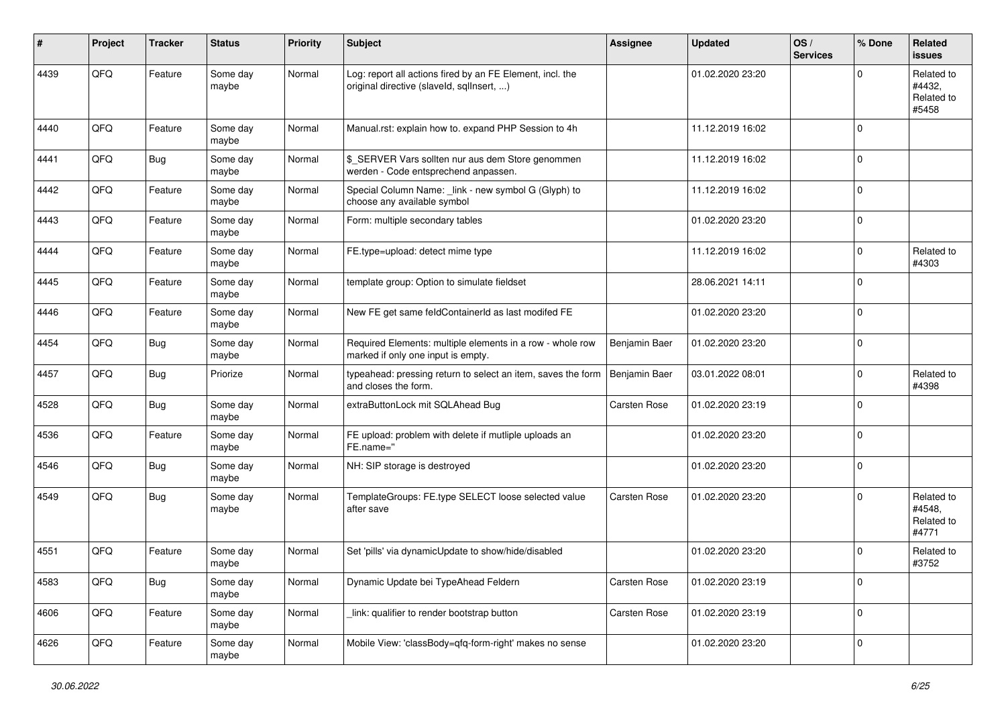| ∦    | Project | <b>Tracker</b> | <b>Status</b>     | Priority | <b>Subject</b>                                                                                         | Assignee      | <b>Updated</b>   | OS/<br><b>Services</b> | % Done      | Related<br><b>issues</b>                    |
|------|---------|----------------|-------------------|----------|--------------------------------------------------------------------------------------------------------|---------------|------------------|------------------------|-------------|---------------------------------------------|
| 4439 | QFQ     | Feature        | Some day<br>maybe | Normal   | Log: report all actions fired by an FE Element, incl. the<br>original directive (slaveld, sqlInsert, ) |               | 01.02.2020 23:20 |                        | $\Omega$    | Related to<br>#4432,<br>Related to<br>#5458 |
| 4440 | QFQ     | Feature        | Some day<br>maybe | Normal   | Manual.rst: explain how to. expand PHP Session to 4h                                                   |               | 11.12.2019 16:02 |                        | $\Omega$    |                                             |
| 4441 | QFQ     | Bug            | Some day<br>maybe | Normal   | \$_SERVER Vars sollten nur aus dem Store genommen<br>werden - Code entsprechend anpassen.              |               | 11.12.2019 16:02 |                        | $\mathbf 0$ |                                             |
| 4442 | QFQ     | Feature        | Some day<br>maybe | Normal   | Special Column Name: _link - new symbol G (Glyph) to<br>choose any available symbol                    |               | 11.12.2019 16:02 |                        | $\mathbf 0$ |                                             |
| 4443 | QFQ     | Feature        | Some day<br>maybe | Normal   | Form: multiple secondary tables                                                                        |               | 01.02.2020 23:20 |                        | $\Omega$    |                                             |
| 4444 | QFQ     | Feature        | Some day<br>maybe | Normal   | FE.type=upload: detect mime type                                                                       |               | 11.12.2019 16:02 |                        | $\Omega$    | Related to<br>#4303                         |
| 4445 | QFQ     | Feature        | Some day<br>maybe | Normal   | template group: Option to simulate fieldset                                                            |               | 28.06.2021 14:11 |                        | $\Omega$    |                                             |
| 4446 | QFQ     | Feature        | Some day<br>maybe | Normal   | New FE get same feldContainerId as last modifed FE                                                     |               | 01.02.2020 23:20 |                        | $\Omega$    |                                             |
| 4454 | QFQ     | Bug            | Some day<br>maybe | Normal   | Required Elements: multiple elements in a row - whole row<br>marked if only one input is empty.        | Benjamin Baer | 01.02.2020 23:20 |                        | $\Omega$    |                                             |
| 4457 | QFQ     | Bug            | Priorize          | Normal   | typeahead: pressing return to select an item, saves the form<br>and closes the form.                   | Benjamin Baer | 03.01.2022 08:01 |                        | $\Omega$    | Related to<br>#4398                         |
| 4528 | QFQ     | Bug            | Some day<br>maybe | Normal   | extraButtonLock mit SQLAhead Bug                                                                       | Carsten Rose  | 01.02.2020 23:19 |                        | $\mathbf 0$ |                                             |
| 4536 | QFQ     | Feature        | Some day<br>maybe | Normal   | FE upload: problem with delete if mutliple uploads an<br>FE.name="                                     |               | 01.02.2020 23:20 |                        | $\Omega$    |                                             |
| 4546 | QFQ     | Bug            | Some day<br>maybe | Normal   | NH: SIP storage is destroyed                                                                           |               | 01.02.2020 23:20 |                        | $\Omega$    |                                             |
| 4549 | QFQ     | Bug            | Some day<br>maybe | Normal   | TemplateGroups: FE.type SELECT loose selected value<br>after save                                      | Carsten Rose  | 01.02.2020 23:20 |                        | $\Omega$    | Related to<br>#4548,<br>Related to<br>#4771 |
| 4551 | QFQ     | Feature        | Some day<br>maybe | Normal   | Set 'pills' via dynamicUpdate to show/hide/disabled                                                    |               | 01.02.2020 23:20 |                        | $\Omega$    | Related to<br>#3752                         |
| 4583 | QFG     | <b>Bug</b>     | Some day<br>maybe | Normal   | Dynamic Update bei TypeAhead Feldern                                                                   | Carsten Rose  | 01.02.2020 23:19 |                        | $\mathbf 0$ |                                             |
| 4606 | QFQ     | Feature        | Some day<br>maybe | Normal   | link: qualifier to render bootstrap button                                                             | Carsten Rose  | 01.02.2020 23:19 |                        | 0           |                                             |
| 4626 | QFG     | Feature        | Some day<br>maybe | Normal   | Mobile View: 'classBody=qfq-form-right' makes no sense                                                 |               | 01.02.2020 23:20 |                        | $\mathbf 0$ |                                             |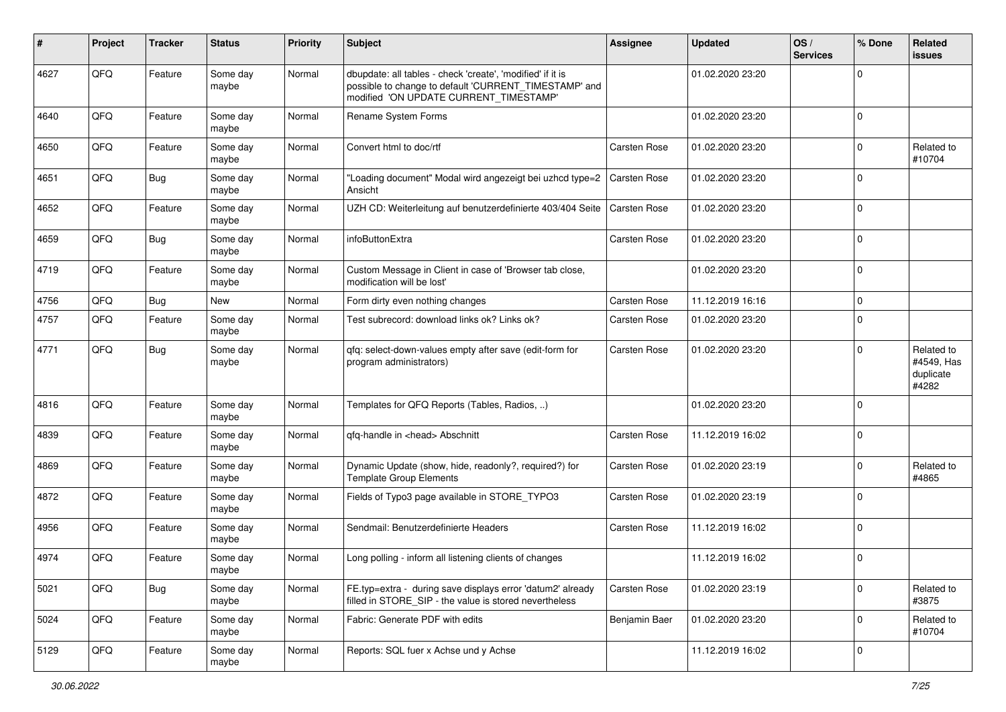| ∦    | Project | <b>Tracker</b> | <b>Status</b>     | <b>Priority</b> | Subject                                                                                                                                                       | <b>Assignee</b>     | <b>Updated</b>   | OS/<br><b>Services</b> | % Done      | Related<br>issues                              |
|------|---------|----------------|-------------------|-----------------|---------------------------------------------------------------------------------------------------------------------------------------------------------------|---------------------|------------------|------------------------|-------------|------------------------------------------------|
| 4627 | QFQ     | Feature        | Some day<br>maybe | Normal          | dbupdate: all tables - check 'create', 'modified' if it is<br>possible to change to default 'CURRENT_TIMESTAMP' and<br>modified 'ON UPDATE CURRENT TIMESTAMP' |                     | 01.02.2020 23:20 |                        | 0           |                                                |
| 4640 | QFQ     | Feature        | Some day<br>maybe | Normal          | Rename System Forms                                                                                                                                           |                     | 01.02.2020 23:20 |                        | $\mathbf 0$ |                                                |
| 4650 | QFQ     | Feature        | Some day<br>maybe | Normal          | Convert html to doc/rtf                                                                                                                                       | Carsten Rose        | 01.02.2020 23:20 |                        | $\Omega$    | Related to<br>#10704                           |
| 4651 | QFQ     | Bug            | Some day<br>maybe | Normal          | "Loading document" Modal wird angezeigt bei uzhcd type=2<br>Ansicht                                                                                           | <b>Carsten Rose</b> | 01.02.2020 23:20 |                        | $\Omega$    |                                                |
| 4652 | QFQ     | Feature        | Some day<br>maybe | Normal          | UZH CD: Weiterleitung auf benutzerdefinierte 403/404 Seite                                                                                                    | <b>Carsten Rose</b> | 01.02.2020 23:20 |                        | $\mathbf 0$ |                                                |
| 4659 | QFQ     | Bug            | Some day<br>maybe | Normal          | infoButtonExtra                                                                                                                                               | Carsten Rose        | 01.02.2020 23:20 |                        | $\Omega$    |                                                |
| 4719 | QFQ     | Feature        | Some day<br>maybe | Normal          | Custom Message in Client in case of 'Browser tab close,<br>modification will be lost'                                                                         |                     | 01.02.2020 23:20 |                        | $\Omega$    |                                                |
| 4756 | QFQ     | Bug            | New               | Normal          | Form dirty even nothing changes                                                                                                                               | Carsten Rose        | 11.12.2019 16:16 |                        | $\Omega$    |                                                |
| 4757 | QFQ     | Feature        | Some day<br>maybe | Normal          | Test subrecord: download links ok? Links ok?                                                                                                                  | Carsten Rose        | 01.02.2020 23:20 |                        | $\mathbf 0$ |                                                |
| 4771 | QFQ     | Bug            | Some day<br>maybe | Normal          | gfg: select-down-values empty after save (edit-form for<br>program administrators)                                                                            | Carsten Rose        | 01.02.2020 23:20 |                        | $\Omega$    | Related to<br>#4549, Has<br>duplicate<br>#4282 |
| 4816 | QFQ     | Feature        | Some day<br>maybe | Normal          | Templates for QFQ Reports (Tables, Radios, )                                                                                                                  |                     | 01.02.2020 23:20 |                        | $\Omega$    |                                                |
| 4839 | QFQ     | Feature        | Some day<br>maybe | Normal          | qfq-handle in <head> Abschnitt</head>                                                                                                                         | Carsten Rose        | 11.12.2019 16:02 |                        | $\Omega$    |                                                |
| 4869 | QFQ     | Feature        | Some day<br>maybe | Normal          | Dynamic Update (show, hide, readonly?, required?) for<br><b>Template Group Elements</b>                                                                       | Carsten Rose        | 01.02.2020 23:19 |                        | $\Omega$    | Related to<br>#4865                            |
| 4872 | QFQ     | Feature        | Some day<br>maybe | Normal          | Fields of Typo3 page available in STORE_TYPO3                                                                                                                 | Carsten Rose        | 01.02.2020 23:19 |                        | $\Omega$    |                                                |
| 4956 | QFQ     | Feature        | Some day<br>maybe | Normal          | Sendmail: Benutzerdefinierte Headers                                                                                                                          | Carsten Rose        | 11.12.2019 16:02 |                        | $\Omega$    |                                                |
| 4974 | QFQ     | Feature        | Some day<br>maybe | Normal          | Long polling - inform all listening clients of changes                                                                                                        |                     | 11.12.2019 16:02 |                        | $\Omega$    |                                                |
| 5021 | QFQ     | <b>Bug</b>     | Some day<br>maybe | Normal          | FE.typ=extra - during save displays error 'datum2' already<br>filled in STORE_SIP - the value is stored nevertheless                                          | <b>Carsten Rose</b> | 01.02.2020 23:19 |                        | $\mathbf 0$ | Related to<br>#3875                            |
| 5024 | QFQ     | Feature        | Some day<br>maybe | Normal          | Fabric: Generate PDF with edits                                                                                                                               | Benjamin Baer       | 01.02.2020 23:20 |                        | $\Omega$    | Related to<br>#10704                           |
| 5129 | QFQ     | Feature        | Some day<br>maybe | Normal          | Reports: SQL fuer x Achse und y Achse                                                                                                                         |                     | 11.12.2019 16:02 |                        | $\mathbf 0$ |                                                |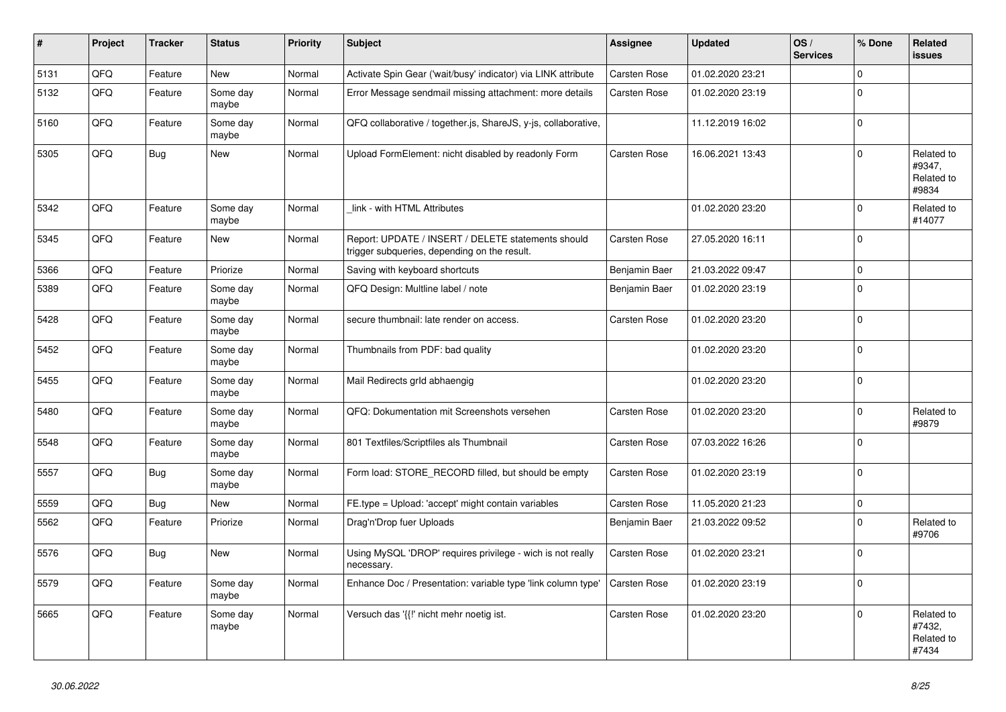| $\vert$ # | <b>Project</b> | <b>Tracker</b> | <b>Status</b>     | <b>Priority</b> | <b>Subject</b>                                                                                     | Assignee            | <b>Updated</b>   | OS/<br><b>Services</b> | % Done      | Related<br><b>issues</b>                    |
|-----------|----------------|----------------|-------------------|-----------------|----------------------------------------------------------------------------------------------------|---------------------|------------------|------------------------|-------------|---------------------------------------------|
| 5131      | QFQ            | Feature        | <b>New</b>        | Normal          | Activate Spin Gear ('wait/busy' indicator) via LINK attribute                                      | Carsten Rose        | 01.02.2020 23:21 |                        | $\Omega$    |                                             |
| 5132      | QFQ            | Feature        | Some day<br>maybe | Normal          | Error Message sendmail missing attachment: more details                                            | <b>Carsten Rose</b> | 01.02.2020 23:19 |                        | $\Omega$    |                                             |
| 5160      | QFQ            | Feature        | Some day<br>maybe | Normal          | QFQ collaborative / together.js, ShareJS, y-js, collaborative,                                     |                     | 11.12.2019 16:02 |                        | $\Omega$    |                                             |
| 5305      | QFQ            | Bug            | New               | Normal          | Upload FormElement: nicht disabled by readonly Form                                                | <b>Carsten Rose</b> | 16.06.2021 13:43 |                        | $\Omega$    | Related to<br>#9347,<br>Related to<br>#9834 |
| 5342      | QFQ            | Feature        | Some day<br>maybe | Normal          | link - with HTML Attributes                                                                        |                     | 01.02.2020 23:20 |                        | $\Omega$    | Related to<br>#14077                        |
| 5345      | QFQ            | Feature        | New               | Normal          | Report: UPDATE / INSERT / DELETE statements should<br>trigger subqueries, depending on the result. | Carsten Rose        | 27.05.2020 16:11 |                        | $\Omega$    |                                             |
| 5366      | QFQ            | Feature        | Priorize          | Normal          | Saving with keyboard shortcuts                                                                     | Benjamin Baer       | 21.03.2022 09:47 |                        | $\mathbf 0$ |                                             |
| 5389      | QFQ            | Feature        | Some day<br>maybe | Normal          | QFQ Design: Multline label / note                                                                  | Benjamin Baer       | 01.02.2020 23:19 |                        | $\Omega$    |                                             |
| 5428      | QFQ            | Feature        | Some day<br>maybe | Normal          | secure thumbnail: late render on access.                                                           | Carsten Rose        | 01.02.2020 23:20 |                        | $\Omega$    |                                             |
| 5452      | QFQ            | Feature        | Some day<br>maybe | Normal          | Thumbnails from PDF: bad quality                                                                   |                     | 01.02.2020 23:20 |                        | $\Omega$    |                                             |
| 5455      | QFQ            | Feature        | Some day<br>maybe | Normal          | Mail Redirects grld abhaengig                                                                      |                     | 01.02.2020 23:20 |                        | $\mathbf 0$ |                                             |
| 5480      | QFQ            | Feature        | Some day<br>maybe | Normal          | QFQ: Dokumentation mit Screenshots versehen                                                        | Carsten Rose        | 01.02.2020 23:20 |                        | $\Omega$    | Related to<br>#9879                         |
| 5548      | QFQ            | Feature        | Some day<br>maybe | Normal          | 801 Textfiles/Scriptfiles als Thumbnail                                                            | <b>Carsten Rose</b> | 07.03.2022 16:26 |                        | $\Omega$    |                                             |
| 5557      | QFQ            | Bug            | Some day<br>maybe | Normal          | Form load: STORE_RECORD filled, but should be empty                                                | Carsten Rose        | 01.02.2020 23:19 |                        | $\Omega$    |                                             |
| 5559      | QFQ            | <b>Bug</b>     | <b>New</b>        | Normal          | FE.type = Upload: 'accept' might contain variables                                                 | Carsten Rose        | 11.05.2020 21:23 |                        | $\Omega$    |                                             |
| 5562      | QFQ            | Feature        | Priorize          | Normal          | Drag'n'Drop fuer Uploads                                                                           | Benjamin Baer       | 21.03.2022 09:52 |                        | $\Omega$    | Related to<br>#9706                         |
| 5576      | QFQ            | Bug            | New               | Normal          | Using MySQL 'DROP' requires privilege - wich is not really<br>necessary.                           | <b>Carsten Rose</b> | 01.02.2020 23:21 |                        | $\Omega$    |                                             |
| 5579      | QFQ            | Feature        | Some day<br>maybe | Normal          | Enhance Doc / Presentation: variable type 'link column type'                                       | Carsten Rose        | 01.02.2020 23:19 |                        | $\Omega$    |                                             |
| 5665      | QFQ            | Feature        | Some day<br>maybe | Normal          | Versuch das '{{!' nicht mehr noetig ist.                                                           | <b>Carsten Rose</b> | 01.02.2020 23:20 |                        | $\Omega$    | Related to<br>#7432,<br>Related to<br>#7434 |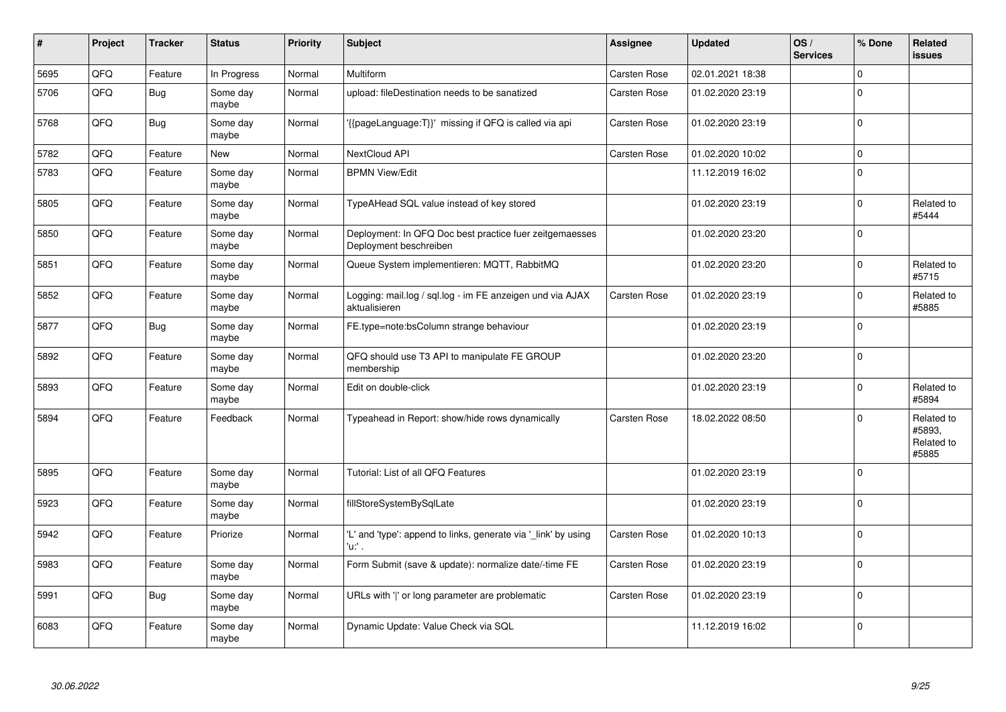| #    | Project | <b>Tracker</b> | <b>Status</b>     | <b>Priority</b> | <b>Subject</b>                                                                    | Assignee            | <b>Updated</b>   | OS/<br><b>Services</b> | % Done   | Related<br><b>issues</b>                    |
|------|---------|----------------|-------------------|-----------------|-----------------------------------------------------------------------------------|---------------------|------------------|------------------------|----------|---------------------------------------------|
| 5695 | QFQ     | Feature        | In Progress       | Normal          | <b>Multiform</b>                                                                  | <b>Carsten Rose</b> | 02.01.2021 18:38 |                        | $\Omega$ |                                             |
| 5706 | QFQ     | Bug            | Some day<br>maybe | Normal          | upload: fileDestination needs to be sanatized                                     | Carsten Rose        | 01.02.2020 23:19 |                        | $\Omega$ |                                             |
| 5768 | QFQ     | Bug            | Some day<br>maybe | Normal          | {{pageLanguage:T}}' missing if QFQ is called via api                              | Carsten Rose        | 01.02.2020 23:19 |                        | $\Omega$ |                                             |
| 5782 | QFQ     | Feature        | <b>New</b>        | Normal          | NextCloud API                                                                     | Carsten Rose        | 01.02.2020 10:02 |                        | $\Omega$ |                                             |
| 5783 | QFQ     | Feature        | Some day<br>maybe | Normal          | <b>BPMN View/Edit</b>                                                             |                     | 11.12.2019 16:02 |                        | $\Omega$ |                                             |
| 5805 | QFQ     | Feature        | Some day<br>maybe | Normal          | TypeAHead SQL value instead of key stored                                         |                     | 01.02.2020 23:19 |                        | $\Omega$ | Related to<br>#5444                         |
| 5850 | QFQ     | Feature        | Some day<br>maybe | Normal          | Deployment: In QFQ Doc best practice fuer zeitgemaesses<br>Deployment beschreiben |                     | 01.02.2020 23:20 |                        | $\Omega$ |                                             |
| 5851 | QFQ     | Feature        | Some day<br>maybe | Normal          | Queue System implementieren: MQTT, RabbitMQ                                       |                     | 01.02.2020 23:20 |                        | $\Omega$ | Related to<br>#5715                         |
| 5852 | QFQ     | Feature        | Some day<br>maybe | Normal          | Logging: mail.log / sql.log - im FE anzeigen und via AJAX<br>aktualisieren        | Carsten Rose        | 01.02.2020 23:19 |                        | $\Omega$ | Related to<br>#5885                         |
| 5877 | QFQ     | Bug            | Some day<br>maybe | Normal          | FE.type=note:bsColumn strange behaviour                                           |                     | 01.02.2020 23:19 |                        | $\Omega$ |                                             |
| 5892 | QFQ     | Feature        | Some day<br>maybe | Normal          | QFQ should use T3 API to manipulate FE GROUP<br>membership                        |                     | 01.02.2020 23:20 |                        | $\Omega$ |                                             |
| 5893 | QFQ     | Feature        | Some day<br>maybe | Normal          | Edit on double-click                                                              |                     | 01.02.2020 23:19 |                        | $\Omega$ | Related to<br>#5894                         |
| 5894 | QFQ     | Feature        | Feedback          | Normal          | Typeahead in Report: show/hide rows dynamically                                   | Carsten Rose        | 18.02.2022 08:50 |                        | $\Omega$ | Related to<br>#5893,<br>Related to<br>#5885 |
| 5895 | QFQ     | Feature        | Some day<br>maybe | Normal          | Tutorial: List of all QFQ Features                                                |                     | 01.02.2020 23:19 |                        | $\Omega$ |                                             |
| 5923 | QFQ     | Feature        | Some day<br>maybe | Normal          | fillStoreSystemBySqlLate                                                          |                     | 01.02.2020 23:19 |                        | $\Omega$ |                                             |
| 5942 | QFQ     | Feature        | Priorize          | Normal          | 'L' and 'type': append to links, generate via 'link' by using<br>'u:' .           | <b>Carsten Rose</b> | 01.02.2020 10:13 |                        | $\Omega$ |                                             |
| 5983 | QFQ     | Feature        | Some day<br>maybe | Normal          | Form Submit (save & update): normalize date/-time FE                              | Carsten Rose        | 01.02.2020 23:19 |                        | $\Omega$ |                                             |
| 5991 | QFQ     | Bug            | Some day<br>maybe | Normal          | URLs with ' ' or long parameter are problematic                                   | Carsten Rose        | 01.02.2020 23:19 |                        | $\Omega$ |                                             |
| 6083 | QFQ     | Feature        | Some day<br>maybe | Normal          | Dynamic Update: Value Check via SQL                                               |                     | 11.12.2019 16:02 |                        | $\Omega$ |                                             |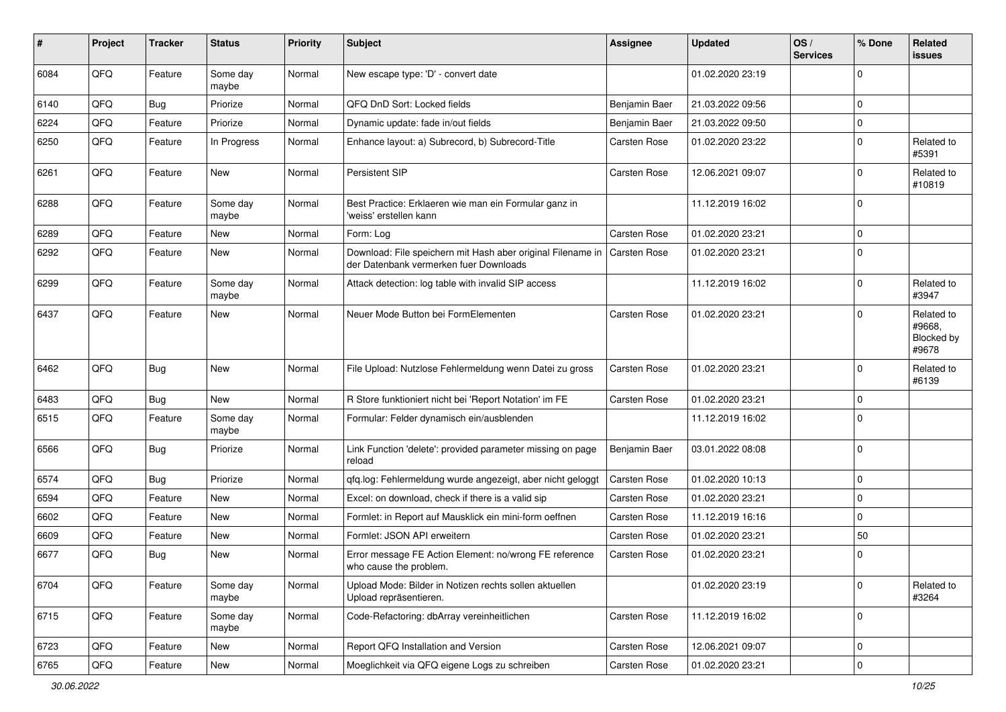| #    | Project | <b>Tracker</b> | <b>Status</b>     | <b>Priority</b> | Subject                                                                                               | Assignee            | <b>Updated</b>   | OS/<br><b>Services</b> | % Done      | Related<br>issues                           |
|------|---------|----------------|-------------------|-----------------|-------------------------------------------------------------------------------------------------------|---------------------|------------------|------------------------|-------------|---------------------------------------------|
| 6084 | QFQ     | Feature        | Some day<br>maybe | Normal          | New escape type: 'D' - convert date                                                                   |                     | 01.02.2020 23:19 |                        | $\Omega$    |                                             |
| 6140 | QFQ     | <b>Bug</b>     | Priorize          | Normal          | QFQ DnD Sort: Locked fields                                                                           | Benjamin Baer       | 21.03.2022 09:56 |                        | $\Omega$    |                                             |
| 6224 | QFQ     | Feature        | Priorize          | Normal          | Dynamic update: fade in/out fields                                                                    | Benjamin Baer       | 21.03.2022 09:50 |                        | $\Omega$    |                                             |
| 6250 | QFQ     | Feature        | In Progress       | Normal          | Enhance layout: a) Subrecord, b) Subrecord-Title                                                      | Carsten Rose        | 01.02.2020 23:22 |                        | $\Omega$    | Related to<br>#5391                         |
| 6261 | QFQ     | Feature        | <b>New</b>        | Normal          | Persistent SIP                                                                                        | Carsten Rose        | 12.06.2021 09:07 |                        | $\Omega$    | Related to<br>#10819                        |
| 6288 | QFQ     | Feature        | Some day<br>maybe | Normal          | Best Practice: Erklaeren wie man ein Formular ganz in<br>'weiss' erstellen kann                       |                     | 11.12.2019 16:02 |                        | $\Omega$    |                                             |
| 6289 | QFQ     | Feature        | New               | Normal          | Form: Log                                                                                             | Carsten Rose        | 01.02.2020 23:21 |                        | $\Omega$    |                                             |
| 6292 | QFQ     | Feature        | New               | Normal          | Download: File speichern mit Hash aber original Filename in<br>der Datenbank vermerken fuer Downloads | Carsten Rose        | 01.02.2020 23:21 |                        | $\Omega$    |                                             |
| 6299 | QFQ     | Feature        | Some day<br>maybe | Normal          | Attack detection: log table with invalid SIP access                                                   |                     | 11.12.2019 16:02 |                        | $\mathbf 0$ | Related to<br>#3947                         |
| 6437 | QFQ     | Feature        | New               | Normal          | Neuer Mode Button bei FormElementen                                                                   | Carsten Rose        | 01.02.2020 23:21 |                        | $\Omega$    | Related to<br>#9668,<br>Blocked by<br>#9678 |
| 6462 | QFQ     | Bug            | <b>New</b>        | Normal          | File Upload: Nutzlose Fehlermeldung wenn Datei zu gross                                               | <b>Carsten Rose</b> | 01.02.2020 23:21 |                        | $\Omega$    | Related to<br>#6139                         |
| 6483 | QFQ     | <b>Bug</b>     | <b>New</b>        | Normal          | R Store funktioniert nicht bei 'Report Notation' im FE                                                | Carsten Rose        | 01.02.2020 23:21 |                        | $\Omega$    |                                             |
| 6515 | QFQ     | Feature        | Some day<br>maybe | Normal          | Formular: Felder dynamisch ein/ausblenden                                                             |                     | 11.12.2019 16:02 |                        | $\Omega$    |                                             |
| 6566 | QFQ     | Bug            | Priorize          | Normal          | Link Function 'delete': provided parameter missing on page<br>reload                                  | Benjamin Baer       | 03.01.2022 08:08 |                        | $\mathbf 0$ |                                             |
| 6574 | QFQ     | <b>Bug</b>     | Priorize          | Normal          | gfg.log: Fehlermeldung wurde angezeigt, aber nicht geloggt                                            | Carsten Rose        | 01.02.2020 10:13 |                        | $\Omega$    |                                             |
| 6594 | QFQ     | Feature        | <b>New</b>        | Normal          | Excel: on download, check if there is a valid sip                                                     | Carsten Rose        | 01.02.2020 23:21 |                        | $\mathbf 0$ |                                             |
| 6602 | QFQ     | Feature        | <b>New</b>        | Normal          | Formlet: in Report auf Mausklick ein mini-form oeffnen                                                | <b>Carsten Rose</b> | 11.12.2019 16:16 |                        | $\mathbf 0$ |                                             |
| 6609 | QFQ     | Feature        | New               | Normal          | Formlet: JSON API erweitern                                                                           | Carsten Rose        | 01.02.2020 23:21 |                        | 50          |                                             |
| 6677 | QFQ     | Bug            | New               | Normal          | Error message FE Action Element: no/wrong FE reference<br>who cause the problem.                      | Carsten Rose        | 01.02.2020 23:21 |                        | $\Omega$    |                                             |
| 6704 | QFQ     | Feature        | Some day<br>maybe | Normal          | Upload Mode: Bilder in Notizen rechts sollen aktuellen<br>Upload repräsentieren.                      |                     | 01.02.2020 23:19 |                        | $\mathbf 0$ | Related to<br>#3264                         |
| 6715 | QFQ     | Feature        | Some day<br>maybe | Normal          | Code-Refactoring: dbArray vereinheitlichen                                                            | Carsten Rose        | 11.12.2019 16:02 |                        | 0           |                                             |
| 6723 | QFQ     | Feature        | <b>New</b>        | Normal          | Report QFQ Installation and Version                                                                   | Carsten Rose        | 12.06.2021 09:07 |                        | 0           |                                             |
| 6765 | QFG     | Feature        | New               | Normal          | Moeglichkeit via QFQ eigene Logs zu schreiben                                                         | Carsten Rose        | 01.02.2020 23:21 |                        | 0           |                                             |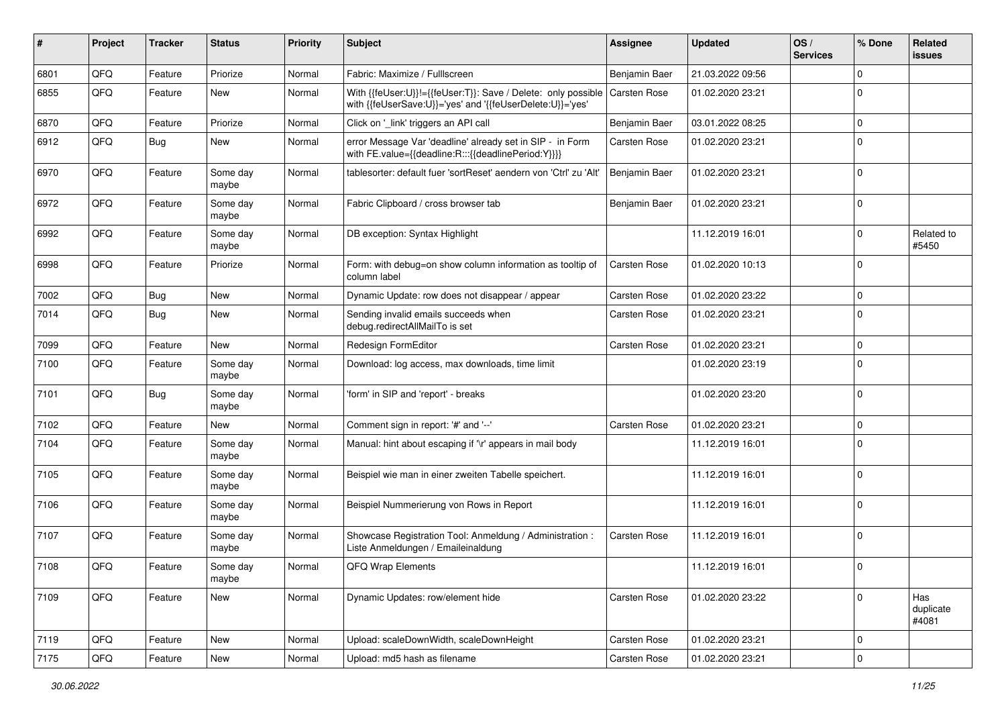| #    | Project | <b>Tracker</b> | <b>Status</b>     | <b>Priority</b> | <b>Subject</b>                                                                                                             | Assignee            | <b>Updated</b>   | OS/<br><b>Services</b> | % Done      | Related<br>issues         |
|------|---------|----------------|-------------------|-----------------|----------------------------------------------------------------------------------------------------------------------------|---------------------|------------------|------------------------|-------------|---------------------------|
| 6801 | QFQ     | Feature        | Priorize          | Normal          | Fabric: Maximize / Fulllscreen                                                                                             | Benjamin Baer       | 21.03.2022 09:56 |                        | $\Omega$    |                           |
| 6855 | QFQ     | Feature        | <b>New</b>        | Normal          | With {{feUser:U}}!={{feUser:T}}: Save / Delete: only possible<br>with {{feUserSave:U}}='yes' and '{{feUserDelete:U}}='yes' | <b>Carsten Rose</b> | 01.02.2020 23:21 |                        | $\Omega$    |                           |
| 6870 | QFQ     | Feature        | Priorize          | Normal          | Click on '_link' triggers an API call                                                                                      | Benjamin Baer       | 03.01.2022 08:25 |                        | 0           |                           |
| 6912 | QFQ     | Bug            | <b>New</b>        | Normal          | error Message Var 'deadline' already set in SIP - in Form<br>with FE.value={{deadline:R:::{{deadlinePeriod:Y}}}}           | Carsten Rose        | 01.02.2020 23:21 |                        | $\Omega$    |                           |
| 6970 | QFQ     | Feature        | Some day<br>maybe | Normal          | tablesorter: default fuer 'sortReset' aendern von 'Ctrl' zu 'Alt'                                                          | Benjamin Baer       | 01.02.2020 23:21 |                        | $\mathbf 0$ |                           |
| 6972 | QFQ     | Feature        | Some day<br>maybe | Normal          | Fabric Clipboard / cross browser tab                                                                                       | Benjamin Baer       | 01.02.2020 23:21 |                        | $\mathbf 0$ |                           |
| 6992 | QFQ     | Feature        | Some day<br>maybe | Normal          | DB exception: Syntax Highlight                                                                                             |                     | 11.12.2019 16:01 |                        | 0           | Related to<br>#5450       |
| 6998 | QFQ     | Feature        | Priorize          | Normal          | Form: with debug=on show column information as tooltip of<br>column label                                                  | <b>Carsten Rose</b> | 01.02.2020 10:13 |                        | $\Omega$    |                           |
| 7002 | QFQ     | Bug            | <b>New</b>        | Normal          | Dynamic Update: row does not disappear / appear                                                                            | Carsten Rose        | 01.02.2020 23:22 |                        | 0           |                           |
| 7014 | QFQ     | Bug            | <b>New</b>        | Normal          | Sending invalid emails succeeds when<br>debug.redirectAllMailTo is set                                                     | Carsten Rose        | 01.02.2020 23:21 |                        | $\Omega$    |                           |
| 7099 | QFQ     | Feature        | <b>New</b>        | Normal          | Redesign FormEditor                                                                                                        | <b>Carsten Rose</b> | 01.02.2020 23:21 |                        | 0           |                           |
| 7100 | QFQ     | Feature        | Some day<br>maybe | Normal          | Download: log access, max downloads, time limit                                                                            |                     | 01.02.2020 23:19 |                        | $\Omega$    |                           |
| 7101 | QFQ     | Bug            | Some day<br>maybe | Normal          | 'form' in SIP and 'report' - breaks                                                                                        |                     | 01.02.2020 23:20 |                        | $\mathbf 0$ |                           |
| 7102 | QFQ     | Feature        | <b>New</b>        | Normal          | Comment sign in report: '#' and '--'                                                                                       | Carsten Rose        | 01.02.2020 23:21 |                        | $\mathbf 0$ |                           |
| 7104 | QFQ     | Feature        | Some day<br>maybe | Normal          | Manual: hint about escaping if '\r' appears in mail body                                                                   |                     | 11.12.2019 16:01 |                        | $\Omega$    |                           |
| 7105 | QFQ     | Feature        | Some day<br>maybe | Normal          | Beispiel wie man in einer zweiten Tabelle speichert.                                                                       |                     | 11.12.2019 16:01 |                        | $\Omega$    |                           |
| 7106 | QFQ     | Feature        | Some day<br>maybe | Normal          | Beispiel Nummerierung von Rows in Report                                                                                   |                     | 11.12.2019 16:01 |                        | $\mathbf 0$ |                           |
| 7107 | QFQ     | Feature        | Some day<br>maybe | Normal          | Showcase Registration Tool: Anmeldung / Administration :<br>Liste Anmeldungen / Emaileinaldung                             | Carsten Rose        | 11.12.2019 16:01 |                        | $\Omega$    |                           |
| 7108 | QFQ     | Feature        | Some day<br>maybe | Normal          | QFQ Wrap Elements                                                                                                          |                     | 11.12.2019 16:01 |                        | 0           |                           |
| 7109 | QFQ     | Feature        | New               | Normal          | Dynamic Updates: row/element hide                                                                                          | Carsten Rose        | 01.02.2020 23:22 |                        | $\Omega$    | Has<br>duplicate<br>#4081 |
| 7119 | QFQ     | Feature        | <b>New</b>        | Normal          | Upload: scaleDownWidth, scaleDownHeight                                                                                    | Carsten Rose        | 01.02.2020 23:21 |                        | $\mathbf 0$ |                           |
| 7175 | QFQ     | Feature        | New               | Normal          | Upload: md5 hash as filename                                                                                               | Carsten Rose        | 01.02.2020 23:21 |                        | 0           |                           |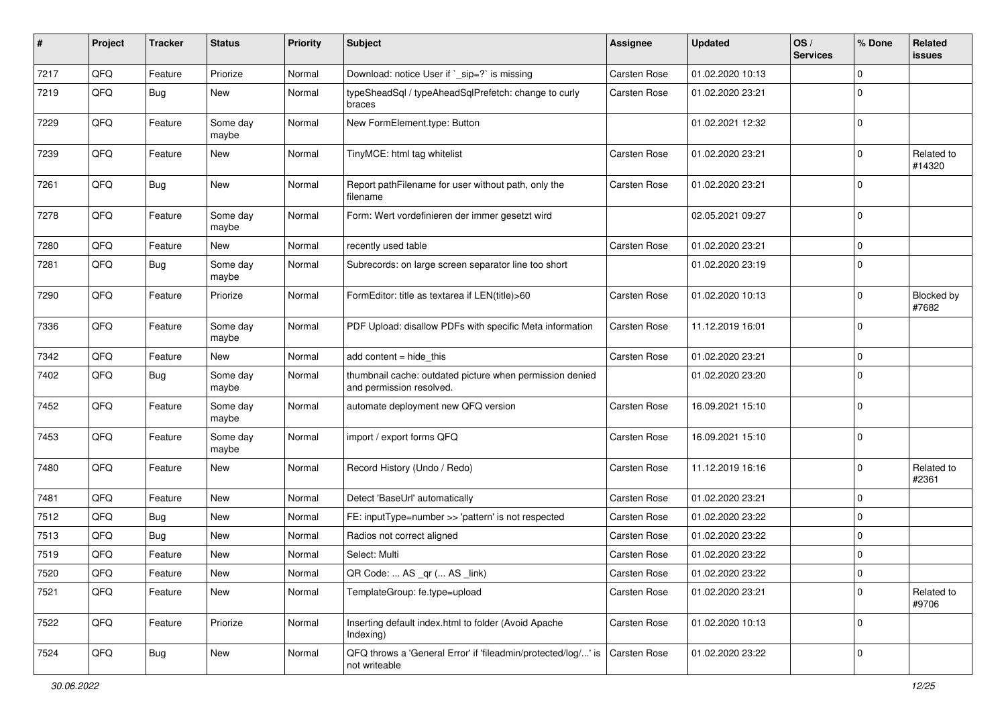| #    | Project    | <b>Tracker</b> | <b>Status</b>     | <b>Priority</b> | Subject                                                                              | Assignee     | <b>Updated</b>   | OS/<br><b>Services</b> | % Done      | Related<br>issues    |
|------|------------|----------------|-------------------|-----------------|--------------------------------------------------------------------------------------|--------------|------------------|------------------------|-------------|----------------------|
| 7217 | QFQ        | Feature        | Priorize          | Normal          | Download: notice User if `_sip=?` is missing                                         | Carsten Rose | 01.02.2020 10:13 |                        | $\Omega$    |                      |
| 7219 | QFQ        | <b>Bug</b>     | New               | Normal          | typeSheadSql / typeAheadSqlPrefetch: change to curly<br>braces                       | Carsten Rose | 01.02.2020 23:21 |                        | $\Omega$    |                      |
| 7229 | QFQ        | Feature        | Some day<br>maybe | Normal          | New FormElement.type: Button                                                         |              | 01.02.2021 12:32 |                        | $\mathbf 0$ |                      |
| 7239 | QFQ        | Feature        | <b>New</b>        | Normal          | TinyMCE: html tag whitelist                                                          | Carsten Rose | 01.02.2020 23:21 |                        | $\Omega$    | Related to<br>#14320 |
| 7261 | QFQ        | Bug            | <b>New</b>        | Normal          | Report pathFilename for user without path, only the<br>filename                      | Carsten Rose | 01.02.2020 23:21 |                        | $\Omega$    |                      |
| 7278 | QFQ        | Feature        | Some day<br>maybe | Normal          | Form: Wert vordefinieren der immer gesetzt wird                                      |              | 02.05.2021 09:27 |                        | $\mathbf 0$ |                      |
| 7280 | QFQ        | Feature        | <b>New</b>        | Normal          | recently used table                                                                  | Carsten Rose | 01.02.2020 23:21 |                        | $\mathbf 0$ |                      |
| 7281 | QFQ        | Bug            | Some day<br>maybe | Normal          | Subrecords: on large screen separator line too short                                 |              | 01.02.2020 23:19 |                        | $\Omega$    |                      |
| 7290 | QFQ        | Feature        | Priorize          | Normal          | FormEditor: title as textarea if LEN(title)>60                                       | Carsten Rose | 01.02.2020 10:13 |                        | 0           | Blocked by<br>#7682  |
| 7336 | QFQ        | Feature        | Some day<br>maybe | Normal          | PDF Upload: disallow PDFs with specific Meta information                             | Carsten Rose | 11.12.2019 16:01 |                        | $\Omega$    |                      |
| 7342 | QFQ        | Feature        | New               | Normal          | add content $=$ hide this                                                            | Carsten Rose | 01.02.2020 23:21 |                        | $\mathbf 0$ |                      |
| 7402 | QFQ        | Bug            | Some day<br>maybe | Normal          | thumbnail cache: outdated picture when permission denied<br>and permission resolved. |              | 01.02.2020 23:20 |                        | 0           |                      |
| 7452 | QFQ        | Feature        | Some day<br>maybe | Normal          | automate deployment new QFQ version                                                  | Carsten Rose | 16.09.2021 15:10 |                        | $\mathbf 0$ |                      |
| 7453 | QFQ        | Feature        | Some day<br>maybe | Normal          | import / export forms QFQ                                                            | Carsten Rose | 16.09.2021 15:10 |                        | $\Omega$    |                      |
| 7480 | QFQ        | Feature        | <b>New</b>        | Normal          | Record History (Undo / Redo)                                                         | Carsten Rose | 11.12.2019 16:16 |                        | $\Omega$    | Related to<br>#2361  |
| 7481 | QFQ        | Feature        | <b>New</b>        | Normal          | Detect 'BaseUrl' automatically                                                       | Carsten Rose | 01.02.2020 23:21 |                        | $\Omega$    |                      |
| 7512 | QFQ        | Bug            | New               | Normal          | FE: inputType=number >> 'pattern' is not respected                                   | Carsten Rose | 01.02.2020 23:22 |                        | $\Omega$    |                      |
| 7513 | QFQ        | Bug            | <b>New</b>        | Normal          | Radios not correct aligned                                                           | Carsten Rose | 01.02.2020 23:22 |                        | $\mathbf 0$ |                      |
| 7519 | QFQ        | Feature        | <b>New</b>        | Normal          | Select: Multi                                                                        | Carsten Rose | 01.02.2020 23:22 |                        | $\Omega$    |                      |
| 7520 | <b>QFQ</b> | Feature        | New               | Normal          | QR Code:  AS _qr ( AS _link)                                                         | Carsten Rose | 01.02.2020 23:22 |                        | l 0         |                      |
| 7521 | QFQ        | Feature        | New               | Normal          | TemplateGroup: fe.type=upload                                                        | Carsten Rose | 01.02.2020 23:21 |                        | $\mathbf 0$ | Related to<br>#9706  |
| 7522 | QFQ        | Feature        | Priorize          | Normal          | Inserting default index.html to folder (Avoid Apache<br>Indexing)                    | Carsten Rose | 01.02.2020 10:13 |                        | $\mathbf 0$ |                      |
| 7524 | QFQ        | Bug            | New               | Normal          | QFQ throws a 'General Error' if 'fileadmin/protected/log/' is<br>not writeable       | Carsten Rose | 01.02.2020 23:22 |                        | 0           |                      |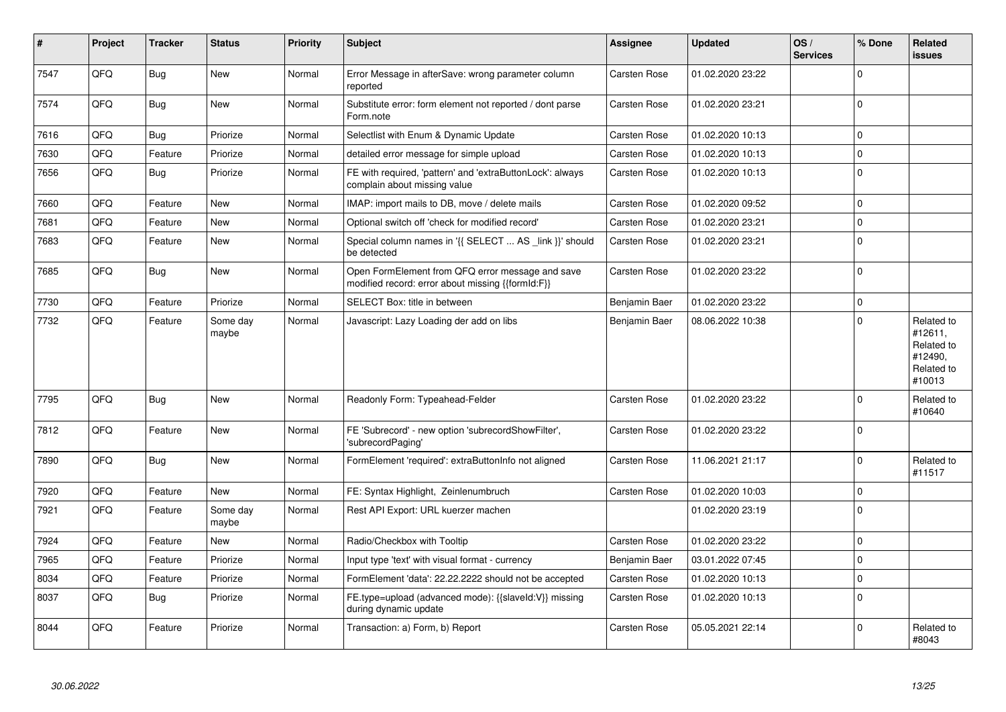| #    | Project | Tracker    | <b>Status</b>     | <b>Priority</b> | Subject                                                                                               | Assignee            | <b>Updated</b>   | OS/<br><b>Services</b> | % Done      | Related<br><b>issues</b>                                               |
|------|---------|------------|-------------------|-----------------|-------------------------------------------------------------------------------------------------------|---------------------|------------------|------------------------|-------------|------------------------------------------------------------------------|
| 7547 | QFQ     | Bug        | <b>New</b>        | Normal          | Error Message in afterSave: wrong parameter column<br>reported                                        | Carsten Rose        | 01.02.2020 23:22 |                        | $\Omega$    |                                                                        |
| 7574 | QFQ     | Bug        | <b>New</b>        | Normal          | Substitute error: form element not reported / dont parse<br>Form.note                                 | Carsten Rose        | 01.02.2020 23:21 |                        | $\Omega$    |                                                                        |
| 7616 | QFQ     | <b>Bug</b> | Priorize          | Normal          | Selectlist with Enum & Dynamic Update                                                                 | Carsten Rose        | 01.02.2020 10:13 |                        | $\Omega$    |                                                                        |
| 7630 | QFQ     | Feature    | Priorize          | Normal          | detailed error message for simple upload                                                              | Carsten Rose        | 01.02.2020 10:13 |                        | $\Omega$    |                                                                        |
| 7656 | QFQ     | Bug        | Priorize          | Normal          | FE with required, 'pattern' and 'extraButtonLock': always<br>complain about missing value             | Carsten Rose        | 01.02.2020 10:13 |                        | $\Omega$    |                                                                        |
| 7660 | QFQ     | Feature    | <b>New</b>        | Normal          | IMAP: import mails to DB, move / delete mails                                                         | Carsten Rose        | 01.02.2020 09:52 |                        | $\mathbf 0$ |                                                                        |
| 7681 | QFQ     | Feature    | <b>New</b>        | Normal          | Optional switch off 'check for modified record'                                                       | <b>Carsten Rose</b> | 01.02.2020 23:21 |                        | $\Omega$    |                                                                        |
| 7683 | QFQ     | Feature    | New               | Normal          | Special column names in '{{ SELECT  AS _link }}' should<br>be detected                                | <b>Carsten Rose</b> | 01.02.2020 23:21 |                        | $\Omega$    |                                                                        |
| 7685 | QFQ     | Bug        | <b>New</b>        | Normal          | Open FormElement from QFQ error message and save<br>modified record: error about missing {{formId:F}} | Carsten Rose        | 01.02.2020 23:22 |                        | $\Omega$    |                                                                        |
| 7730 | QFQ     | Feature    | Priorize          | Normal          | SELECT Box: title in between                                                                          | Benjamin Baer       | 01.02.2020 23:22 |                        | $\Omega$    |                                                                        |
| 7732 | QFQ     | Feature    | Some day<br>maybe | Normal          | Javascript: Lazy Loading der add on libs                                                              | Benjamin Baer       | 08.06.2022 10:38 |                        | $\Omega$    | Related to<br>#12611,<br>Related to<br>#12490,<br>Related to<br>#10013 |
| 7795 | QFQ     | Bug        | <b>New</b>        | Normal          | Readonly Form: Typeahead-Felder                                                                       | Carsten Rose        | 01.02.2020 23:22 |                        | $\Omega$    | Related to<br>#10640                                                   |
| 7812 | QFQ     | Feature    | New               | Normal          | FE 'Subrecord' - new option 'subrecordShowFilter',<br>'subrecordPaging'                               | Carsten Rose        | 01.02.2020 23:22 |                        | $\Omega$    |                                                                        |
| 7890 | QFQ     | Bug        | <b>New</b>        | Normal          | FormElement 'required': extraButtonInfo not aligned                                                   | Carsten Rose        | 11.06.2021 21:17 |                        | $\Omega$    | Related to<br>#11517                                                   |
| 7920 | QFQ     | Feature    | <b>New</b>        | Normal          | FE: Syntax Highlight, Zeinlenumbruch                                                                  | Carsten Rose        | 01.02.2020 10:03 |                        | $\Omega$    |                                                                        |
| 7921 | QFQ     | Feature    | Some day<br>maybe | Normal          | Rest API Export: URL kuerzer machen                                                                   |                     | 01.02.2020 23:19 |                        | $\Omega$    |                                                                        |
| 7924 | QFQ     | Feature    | <b>New</b>        | Normal          | Radio/Checkbox with Tooltip                                                                           | Carsten Rose        | 01.02.2020 23:22 |                        | $\Omega$    |                                                                        |
| 7965 | QFQ     | Feature    | Priorize          | Normal          | Input type 'text' with visual format - currency                                                       | Benjamin Baer       | 03.01.2022 07:45 |                        | $\mathbf 0$ |                                                                        |
| 8034 | QFQ     | Feature    | Priorize          | Normal          | FormElement 'data': 22.22.2222 should not be accepted                                                 | Carsten Rose        | 01.02.2020 10:13 |                        | $\Omega$    |                                                                        |
| 8037 | QFQ     | Bug        | Priorize          | Normal          | FE.type=upload (advanced mode): {{slaveId:V}} missing<br>during dynamic update                        | Carsten Rose        | 01.02.2020 10:13 |                        | $\Omega$    |                                                                        |
| 8044 | QFQ     | Feature    | Priorize          | Normal          | Transaction: a) Form, b) Report                                                                       | Carsten Rose        | 05.05.2021 22:14 |                        | $\Omega$    | Related to<br>#8043                                                    |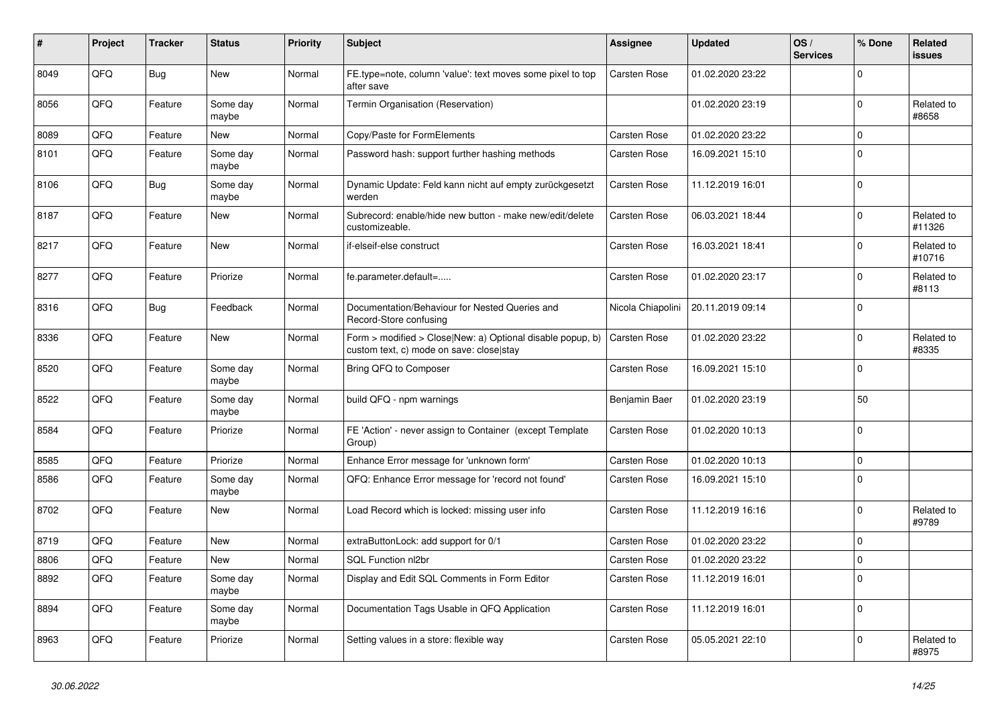| #    | Project | <b>Tracker</b> | <b>Status</b>     | <b>Priority</b> | <b>Subject</b>                                                                                         | Assignee            | <b>Updated</b>   | OS/<br><b>Services</b> | % Done      | Related<br><b>issues</b> |
|------|---------|----------------|-------------------|-----------------|--------------------------------------------------------------------------------------------------------|---------------------|------------------|------------------------|-------------|--------------------------|
| 8049 | QFQ     | <b>Bug</b>     | <b>New</b>        | Normal          | FE.type=note, column 'value': text moves some pixel to top<br>after save                               | <b>Carsten Rose</b> | 01.02.2020 23:22 |                        | $\Omega$    |                          |
| 8056 | QFQ     | Feature        | Some day<br>maybe | Normal          | Termin Organisation (Reservation)                                                                      |                     | 01.02.2020 23:19 |                        | $\Omega$    | Related to<br>#8658      |
| 8089 | QFQ     | Feature        | <b>New</b>        | Normal          | Copy/Paste for FormElements                                                                            | Carsten Rose        | 01.02.2020 23:22 |                        | $\Omega$    |                          |
| 8101 | QFQ     | Feature        | Some day<br>maybe | Normal          | Password hash: support further hashing methods                                                         | Carsten Rose        | 16.09.2021 15:10 |                        | $\Omega$    |                          |
| 8106 | QFQ     | Bug            | Some day<br>maybe | Normal          | Dynamic Update: Feld kann nicht auf empty zurückgesetzt<br>werden                                      | Carsten Rose        | 11.12.2019 16:01 |                        | $\Omega$    |                          |
| 8187 | QFQ     | Feature        | New               | Normal          | Subrecord: enable/hide new button - make new/edit/delete<br>customizeable.                             | Carsten Rose        | 06.03.2021 18:44 |                        | $\Omega$    | Related to<br>#11326     |
| 8217 | QFQ     | Feature        | New               | Normal          | if-elseif-else construct                                                                               | Carsten Rose        | 16.03.2021 18:41 |                        | $\Omega$    | Related to<br>#10716     |
| 8277 | QFQ     | Feature        | Priorize          | Normal          | fe.parameter.default=                                                                                  | Carsten Rose        | 01.02.2020 23:17 |                        | $\Omega$    | Related to<br>#8113      |
| 8316 | QFQ     | <b>Bug</b>     | Feedback          | Normal          | Documentation/Behaviour for Nested Queries and<br>Record-Store confusing                               | Nicola Chiapolini   | 20.11.2019 09:14 |                        | $\Omega$    |                          |
| 8336 | QFQ     | Feature        | New               | Normal          | Form > modified > Close New: a) Optional disable popup, b)<br>custom text, c) mode on save: close stay | Carsten Rose        | 01.02.2020 23:22 |                        | $\Omega$    | Related to<br>#8335      |
| 8520 | QFQ     | Feature        | Some day<br>maybe | Normal          | Bring QFQ to Composer                                                                                  | <b>Carsten Rose</b> | 16.09.2021 15:10 |                        | $\Omega$    |                          |
| 8522 | QFQ     | Feature        | Some day<br>maybe | Normal          | build QFQ - npm warnings                                                                               | Benjamin Baer       | 01.02.2020 23:19 |                        | 50          |                          |
| 8584 | QFQ     | Feature        | Priorize          | Normal          | FE 'Action' - never assign to Container (except Template)<br>Group)                                    | Carsten Rose        | 01.02.2020 10:13 |                        | $\Omega$    |                          |
| 8585 | QFQ     | Feature        | Priorize          | Normal          | Enhance Error message for 'unknown form'                                                               | Carsten Rose        | 01.02.2020 10:13 |                        | $\mathbf 0$ |                          |
| 8586 | QFQ     | Feature        | Some day<br>maybe | Normal          | QFQ: Enhance Error message for 'record not found'                                                      | <b>Carsten Rose</b> | 16.09.2021 15:10 |                        | $\Omega$    |                          |
| 8702 | QFQ     | Feature        | New               | Normal          | Load Record which is locked: missing user info                                                         | Carsten Rose        | 11.12.2019 16:16 |                        | $\Omega$    | Related to<br>#9789      |
| 8719 | QFQ     | Feature        | <b>New</b>        | Normal          | extraButtonLock: add support for 0/1                                                                   | Carsten Rose        | 01.02.2020 23:22 |                        | $\Omega$    |                          |
| 8806 | QFQ     | Feature        | <b>New</b>        | Normal          | SQL Function nl2br                                                                                     | Carsten Rose        | 01.02.2020 23:22 |                        | $\Omega$    |                          |
| 8892 | QFQ     | Feature        | Some day<br>maybe | Normal          | Display and Edit SQL Comments in Form Editor                                                           | Carsten Rose        | 11.12.2019 16:01 |                        | $\Omega$    |                          |
| 8894 | QFQ     | Feature        | Some day<br>maybe | Normal          | Documentation Tags Usable in QFQ Application                                                           | <b>Carsten Rose</b> | 11.12.2019 16:01 |                        | $\Omega$    |                          |
| 8963 | QFQ     | Feature        | Priorize          | Normal          | Setting values in a store: flexible way                                                                | <b>Carsten Rose</b> | 05.05.2021 22:10 |                        | $\Omega$    | Related to<br>#8975      |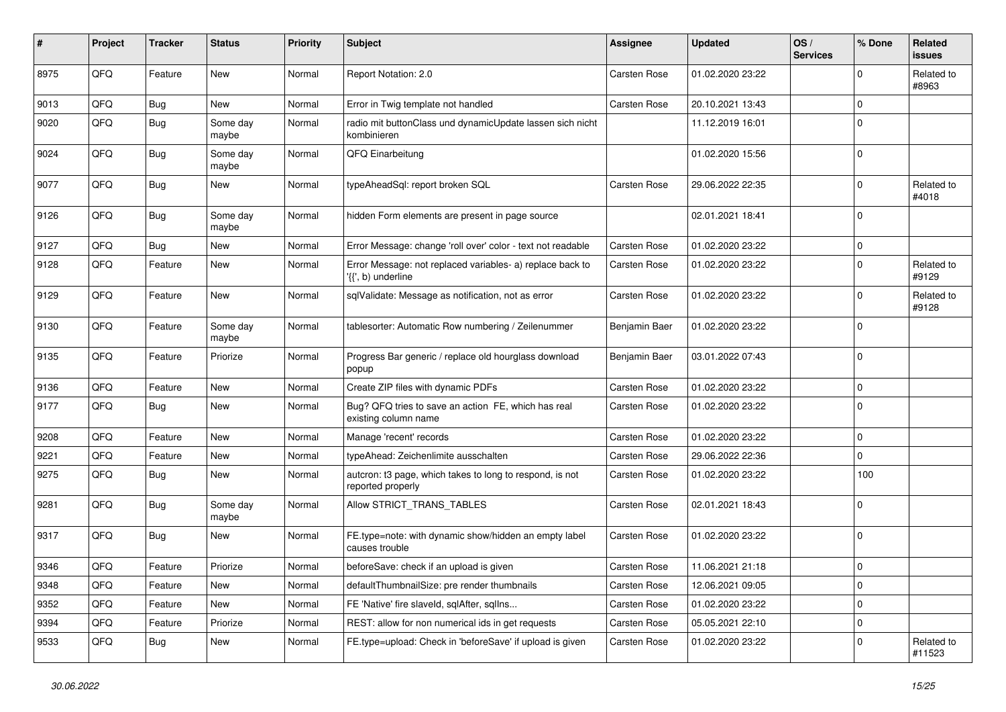| ∦    | Project | <b>Tracker</b> | <b>Status</b>     | <b>Priority</b> | <b>Subject</b>                                                                 | Assignee            | <b>Updated</b>   | OS/<br><b>Services</b> | % Done      | Related<br><b>issues</b> |
|------|---------|----------------|-------------------|-----------------|--------------------------------------------------------------------------------|---------------------|------------------|------------------------|-------------|--------------------------|
| 8975 | QFQ     | Feature        | New               | Normal          | Report Notation: 2.0                                                           | <b>Carsten Rose</b> | 01.02.2020 23:22 |                        | $\Omega$    | Related to<br>#8963      |
| 9013 | QFQ     | Bug            | <b>New</b>        | Normal          | Error in Twig template not handled                                             | Carsten Rose        | 20.10.2021 13:43 |                        | $\Omega$    |                          |
| 9020 | QFQ     | <b>Bug</b>     | Some day<br>maybe | Normal          | radio mit buttonClass und dynamicUpdate lassen sich nicht<br>kombinieren       |                     | 11.12.2019 16:01 |                        | $\Omega$    |                          |
| 9024 | QFQ     | <b>Bug</b>     | Some day<br>maybe | Normal          | QFQ Einarbeitung                                                               |                     | 01.02.2020 15:56 |                        | $\Omega$    |                          |
| 9077 | QFQ     | Bug            | New               | Normal          | typeAheadSql: report broken SQL                                                | Carsten Rose        | 29.06.2022 22:35 |                        | $\Omega$    | Related to<br>#4018      |
| 9126 | QFQ     | <b>Bug</b>     | Some day<br>maybe | Normal          | hidden Form elements are present in page source                                |                     | 02.01.2021 18:41 |                        | $\Omega$    |                          |
| 9127 | QFQ     | Bug            | <b>New</b>        | Normal          | Error Message: change 'roll over' color - text not readable                    | <b>Carsten Rose</b> | 01.02.2020 23:22 |                        | $\mathbf 0$ |                          |
| 9128 | QFQ     | Feature        | <b>New</b>        | Normal          | Error Message: not replaced variables- a) replace back to<br>{{', b) underline | <b>Carsten Rose</b> | 01.02.2020 23:22 |                        | $\Omega$    | Related to<br>#9129      |
| 9129 | QFQ     | Feature        | <b>New</b>        | Normal          | sqlValidate: Message as notification, not as error                             | Carsten Rose        | 01.02.2020 23:22 |                        | $\Omega$    | Related to<br>#9128      |
| 9130 | QFQ     | Feature        | Some day<br>maybe | Normal          | tablesorter: Automatic Row numbering / Zeilenummer                             | Benjamin Baer       | 01.02.2020 23:22 |                        | $\Omega$    |                          |
| 9135 | QFQ     | Feature        | Priorize          | Normal          | Progress Bar generic / replace old hourglass download<br>popup                 | Benjamin Baer       | 03.01.2022 07:43 |                        | $\Omega$    |                          |
| 9136 | QFQ     | Feature        | <b>New</b>        | Normal          | Create ZIP files with dynamic PDFs                                             | <b>Carsten Rose</b> | 01.02.2020 23:22 |                        | $\Omega$    |                          |
| 9177 | QFQ     | Bug            | <b>New</b>        | Normal          | Bug? QFQ tries to save an action FE, which has real<br>existing column name    | <b>Carsten Rose</b> | 01.02.2020 23:22 |                        | $\Omega$    |                          |
| 9208 | QFQ     | Feature        | <b>New</b>        | Normal          | Manage 'recent' records                                                        | Carsten Rose        | 01.02.2020 23:22 |                        | $\mathbf 0$ |                          |
| 9221 | QFQ     | Feature        | <b>New</b>        | Normal          | typeAhead: Zeichenlimite ausschalten                                           | Carsten Rose        | 29.06.2022 22:36 |                        | $\mathbf 0$ |                          |
| 9275 | QFQ     | <b>Bug</b>     | <b>New</b>        | Normal          | auteron: t3 page, which takes to long to respond, is not<br>reported properly  | Carsten Rose        | 01.02.2020 23:22 |                        | 100         |                          |
| 9281 | QFQ     | Bug            | Some day<br>maybe | Normal          | Allow STRICT_TRANS_TABLES                                                      | <b>Carsten Rose</b> | 02.01.2021 18:43 |                        | $\Omega$    |                          |
| 9317 | QFQ     | Bug            | <b>New</b>        | Normal          | FE.type=note: with dynamic show/hidden an empty label<br>causes trouble        | <b>Carsten Rose</b> | 01.02.2020 23:22 |                        | $\Omega$    |                          |
| 9346 | QFQ     | Feature        | Priorize          | Normal          | beforeSave: check if an upload is given                                        | <b>Carsten Rose</b> | 11.06.2021 21:18 |                        | $\mathbf 0$ |                          |
| 9348 | QFQ     | Feature        | <b>New</b>        | Normal          | defaultThumbnailSize: pre render thumbnails                                    | Carsten Rose        | 12.06.2021 09:05 |                        | $\Omega$    |                          |
| 9352 | QFQ     | Feature        | <b>New</b>        | Normal          | FE 'Native' fire slaveld, sqlAfter, sqlIns                                     | <b>Carsten Rose</b> | 01.02.2020 23:22 |                        | $\Omega$    |                          |
| 9394 | QFQ     | Feature        | Priorize          | Normal          | REST: allow for non numerical ids in get requests                              | Carsten Rose        | 05.05.2021 22:10 |                        | $\mathbf 0$ |                          |
| 9533 | QFQ     | Bug            | <b>New</b>        | Normal          | FE.type=upload: Check in 'beforeSave' if upload is given                       | <b>Carsten Rose</b> | 01.02.2020 23:22 |                        | $\Omega$    | Related to<br>#11523     |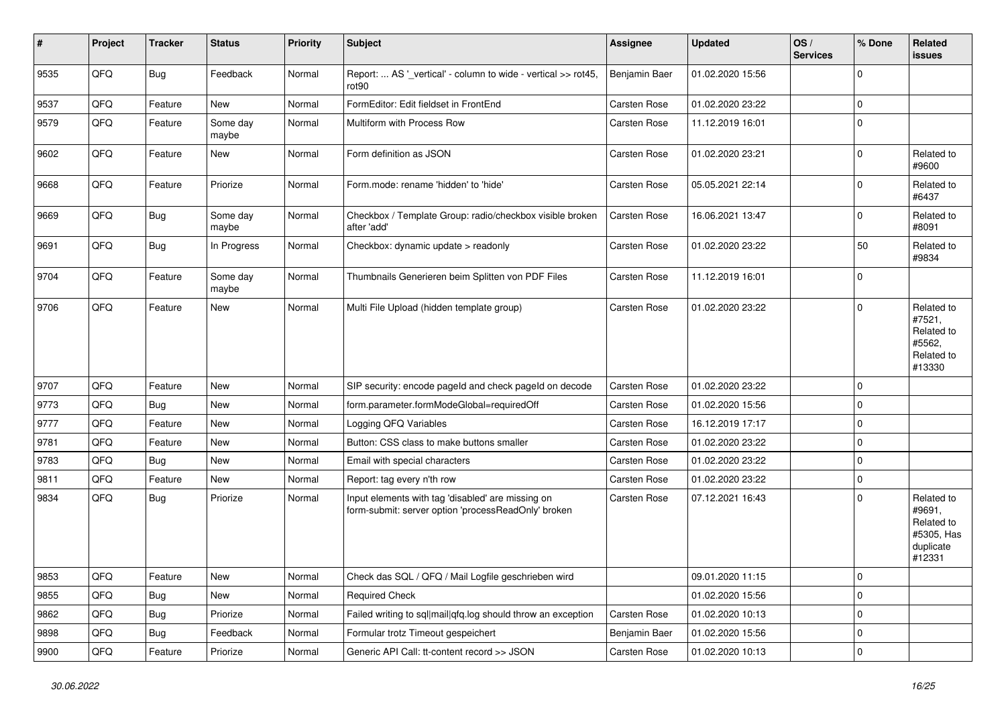| #    | Project | <b>Tracker</b> | <b>Status</b>     | <b>Priority</b> | <b>Subject</b>                                                                                           | Assignee      | <b>Updated</b>   | OS/<br><b>Services</b> | % Done      | Related<br><b>issues</b>                                                |
|------|---------|----------------|-------------------|-----------------|----------------------------------------------------------------------------------------------------------|---------------|------------------|------------------------|-------------|-------------------------------------------------------------------------|
| 9535 | QFQ     | Bug            | Feedback          | Normal          | Report:  AS '_vertical' - column to wide - vertical >> rot45,<br>rot90                                   | Benjamin Baer | 01.02.2020 15:56 |                        | $\mathbf 0$ |                                                                         |
| 9537 | QFQ     | Feature        | <b>New</b>        | Normal          | FormEditor: Edit fieldset in FrontEnd                                                                    | Carsten Rose  | 01.02.2020 23:22 |                        | $\mathbf 0$ |                                                                         |
| 9579 | QFQ     | Feature        | Some day<br>maybe | Normal          | Multiform with Process Row                                                                               | Carsten Rose  | 11.12.2019 16:01 |                        | $\mathbf 0$ |                                                                         |
| 9602 | QFQ     | Feature        | New               | Normal          | Form definition as JSON                                                                                  | Carsten Rose  | 01.02.2020 23:21 |                        | $\mathbf 0$ | Related to<br>#9600                                                     |
| 9668 | QFQ     | Feature        | Priorize          | Normal          | Form.mode: rename 'hidden' to 'hide'                                                                     | Carsten Rose  | 05.05.2021 22:14 |                        | $\mathbf 0$ | Related to<br>#6437                                                     |
| 9669 | QFQ     | Bug            | Some day<br>maybe | Normal          | Checkbox / Template Group: radio/checkbox visible broken<br>after 'add'                                  | Carsten Rose  | 16.06.2021 13:47 |                        | $\mathbf 0$ | Related to<br>#8091                                                     |
| 9691 | QFQ     | Bug            | In Progress       | Normal          | Checkbox: dynamic update > readonly                                                                      | Carsten Rose  | 01.02.2020 23:22 |                        | 50          | Related to<br>#9834                                                     |
| 9704 | QFQ     | Feature        | Some day<br>maybe | Normal          | Thumbnails Generieren beim Splitten von PDF Files                                                        | Carsten Rose  | 11.12.2019 16:01 |                        | $\mathbf 0$ |                                                                         |
| 9706 | QFQ     | Feature        | <b>New</b>        | Normal          | Multi File Upload (hidden template group)                                                                | Carsten Rose  | 01.02.2020 23:22 |                        | $\mathbf 0$ | Related to<br>#7521,<br>Related to<br>#5562,<br>Related to<br>#13330    |
| 9707 | QFQ     | Feature        | <b>New</b>        | Normal          | SIP security: encode pageld and check pageld on decode                                                   | Carsten Rose  | 01.02.2020 23:22 |                        | $\mathbf 0$ |                                                                         |
| 9773 | QFQ     | <b>Bug</b>     | New               | Normal          | form.parameter.formModeGlobal=requiredOff                                                                | Carsten Rose  | 01.02.2020 15:56 |                        | $\mathbf 0$ |                                                                         |
| 9777 | QFQ     | Feature        | <b>New</b>        | Normal          | Logging QFQ Variables                                                                                    | Carsten Rose  | 16.12.2019 17:17 |                        | $\mathbf 0$ |                                                                         |
| 9781 | QFQ     | Feature        | New               | Normal          | Button: CSS class to make buttons smaller                                                                | Carsten Rose  | 01.02.2020 23:22 |                        | $\mathbf 0$ |                                                                         |
| 9783 | QFQ     | Bug            | <b>New</b>        | Normal          | Email with special characters                                                                            | Carsten Rose  | 01.02.2020 23:22 |                        | $\mathbf 0$ |                                                                         |
| 9811 | QFQ     | Feature        | New               | Normal          | Report: tag every n'th row                                                                               | Carsten Rose  | 01.02.2020 23:22 |                        | $\mathbf 0$ |                                                                         |
| 9834 | QFQ     | Bug            | Priorize          | Normal          | Input elements with tag 'disabled' are missing on<br>form-submit: server option 'processReadOnly' broken | Carsten Rose  | 07.12.2021 16:43 |                        | $\mathbf 0$ | Related to<br>#9691,<br>Related to<br>#5305, Has<br>duplicate<br>#12331 |
| 9853 | QFQ     | Feature        | New               | Normal          | Check das SQL / QFQ / Mail Logfile geschrieben wird                                                      |               | 09.01.2020 11:15 |                        | $\mathsf 0$ |                                                                         |
| 9855 | QFQ     | Bug            | New               | Normal          | <b>Required Check</b>                                                                                    |               | 01.02.2020 15:56 |                        | $\mathsf 0$ |                                                                         |
| 9862 | QFQ     | Bug            | Priorize          | Normal          | Failed writing to sql mail qfq.log should throw an exception                                             | Carsten Rose  | 01.02.2020 10:13 |                        | $\mathsf 0$ |                                                                         |
| 9898 | QFQ     | <b>Bug</b>     | Feedback          | Normal          | Formular trotz Timeout gespeichert                                                                       | Benjamin Baer | 01.02.2020 15:56 |                        | $\pmb{0}$   |                                                                         |
| 9900 | QFG     | Feature        | Priorize          | Normal          | Generic API Call: tt-content record >> JSON                                                              | Carsten Rose  | 01.02.2020 10:13 |                        | $\mathsf 0$ |                                                                         |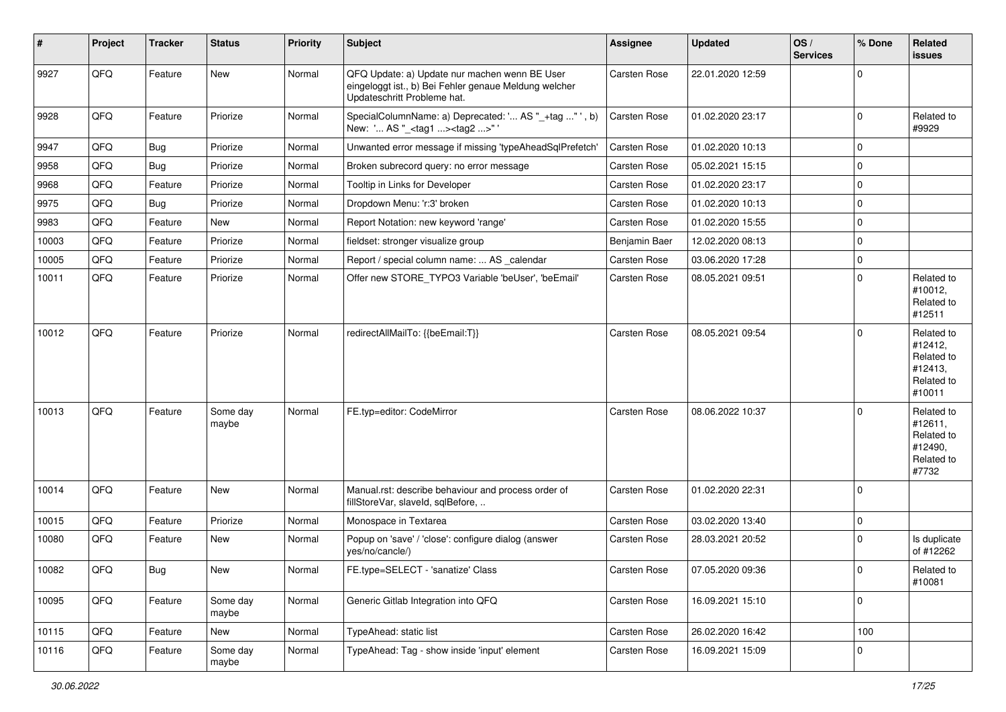| #     | Project | <b>Tracker</b> | <b>Status</b>     | <b>Priority</b> | Subject                                                                                                                               | Assignee      | <b>Updated</b>   | OS/<br><b>Services</b> | % Done      | Related<br>issues                                                      |
|-------|---------|----------------|-------------------|-----------------|---------------------------------------------------------------------------------------------------------------------------------------|---------------|------------------|------------------------|-------------|------------------------------------------------------------------------|
| 9927  | QFQ     | Feature        | <b>New</b>        | Normal          | QFQ Update: a) Update nur machen wenn BE User<br>eingeloggt ist., b) Bei Fehler genaue Meldung welcher<br>Updateschritt Probleme hat. | Carsten Rose  | 22.01.2020 12:59 |                        | $\Omega$    |                                                                        |
| 9928  | QFQ     | Feature        | Priorize          | Normal          | SpecialColumnName: a) Deprecated: ' AS "_+tag "', b)<br>New: ' AS "_ <tag1><tag2>"'</tag2></tag1>                                     | Carsten Rose  | 01.02.2020 23:17 |                        | $\Omega$    | Related to<br>#9929                                                    |
| 9947  | QFQ     | Bug            | Priorize          | Normal          | Unwanted error message if missing 'typeAheadSqlPrefetch'                                                                              | Carsten Rose  | 01.02.2020 10:13 |                        | $\mathbf 0$ |                                                                        |
| 9958  | QFQ     | <b>Bug</b>     | Priorize          | Normal          | Broken subrecord query: no error message                                                                                              | Carsten Rose  | 05.02.2021 15:15 |                        | $\mathbf 0$ |                                                                        |
| 9968  | QFQ     | Feature        | Priorize          | Normal          | Tooltip in Links for Developer                                                                                                        | Carsten Rose  | 01.02.2020 23:17 |                        | $\Omega$    |                                                                        |
| 9975  | QFQ     | Bug            | Priorize          | Normal          | Dropdown Menu: 'r:3' broken                                                                                                           | Carsten Rose  | 01.02.2020 10:13 |                        | $\mathbf 0$ |                                                                        |
| 9983  | QFQ     | Feature        | New               | Normal          | Report Notation: new keyword 'range'                                                                                                  | Carsten Rose  | 01.02.2020 15:55 |                        | 0           |                                                                        |
| 10003 | QFQ     | Feature        | Priorize          | Normal          | fieldset: stronger visualize group                                                                                                    | Benjamin Baer | 12.02.2020 08:13 |                        | $\Omega$    |                                                                        |
| 10005 | QFQ     | Feature        | Priorize          | Normal          | Report / special column name:  AS _calendar                                                                                           | Carsten Rose  | 03.06.2020 17:28 |                        | $\mathbf 0$ |                                                                        |
| 10011 | QFQ     | Feature        | Priorize          | Normal          | Offer new STORE_TYPO3 Variable 'beUser', 'beEmail'                                                                                    | Carsten Rose  | 08.05.2021 09:51 |                        | $\Omega$    | Related to<br>#10012,<br>Related to<br>#12511                          |
| 10012 | QFQ     | Feature        | Priorize          | Normal          | redirectAllMailTo: {{beEmail:T}}                                                                                                      | Carsten Rose  | 08.05.2021 09:54 |                        | $\mathbf 0$ | Related to<br>#12412,<br>Related to<br>#12413,<br>Related to<br>#10011 |
| 10013 | QFQ     | Feature        | Some day<br>maybe | Normal          | FE.typ=editor: CodeMirror                                                                                                             | Carsten Rose  | 08.06.2022 10:37 |                        | $\Omega$    | Related to<br>#12611,<br>Related to<br>#12490,<br>Related to<br>#7732  |
| 10014 | QFQ     | Feature        | New               | Normal          | Manual.rst: describe behaviour and process order of<br>fillStoreVar, slaveId, sqlBefore,                                              | Carsten Rose  | 01.02.2020 22:31 |                        | $\mathbf 0$ |                                                                        |
| 10015 | QFQ     | Feature        | Priorize          | Normal          | Monospace in Textarea                                                                                                                 | Carsten Rose  | 03.02.2020 13:40 |                        | $\mathbf 0$ |                                                                        |
| 10080 | QFQ     | Feature        | <b>New</b>        | Normal          | Popup on 'save' / 'close': configure dialog (answer<br>yes/no/cancle/)                                                                | Carsten Rose  | 28.03.2021 20:52 |                        | $\Omega$    | Is duplicate<br>of #12262                                              |
| 10082 | QFQ     | Bug            | New               | Normal          | FE.type=SELECT - 'sanatize' Class                                                                                                     | Carsten Rose  | 07.05.2020 09:36 |                        | 0           | Related to<br>#10081                                                   |
| 10095 | QFQ     | Feature        | Some day<br>maybe | Normal          | Generic Gitlab Integration into QFQ                                                                                                   | Carsten Rose  | 16.09.2021 15:10 |                        | $\Omega$    |                                                                        |
| 10115 | QFQ     | Feature        | New               | Normal          | TypeAhead: static list                                                                                                                | Carsten Rose  | 26.02.2020 16:42 |                        | 100         |                                                                        |
| 10116 | QFQ     | Feature        | Some day<br>maybe | Normal          | TypeAhead: Tag - show inside 'input' element                                                                                          | Carsten Rose  | 16.09.2021 15:09 |                        | $\mathbf 0$ |                                                                        |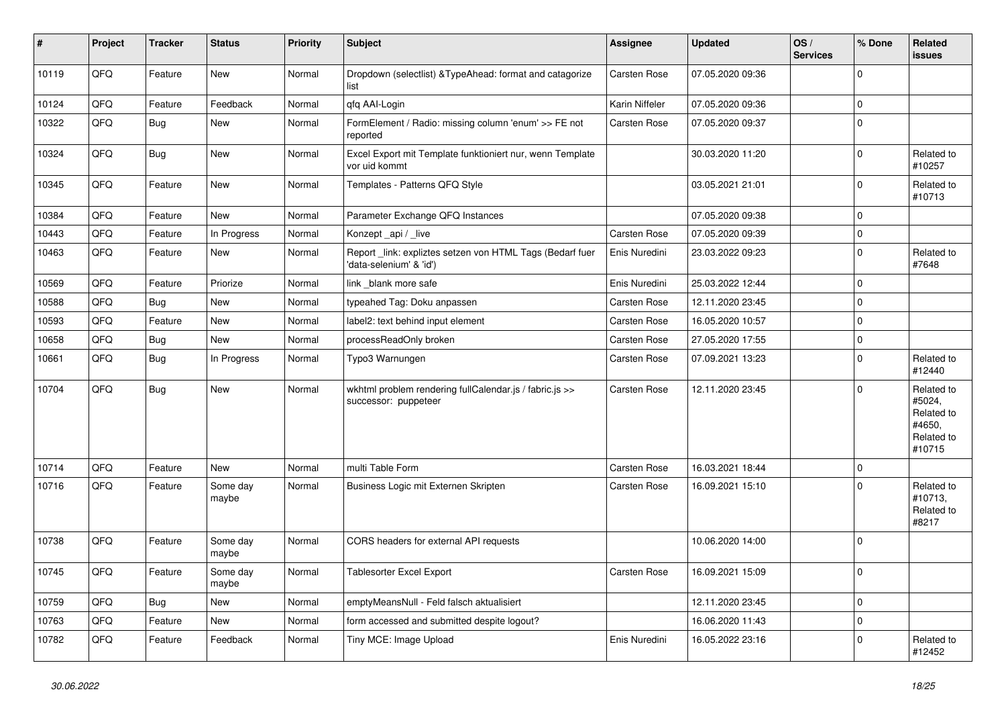| #     | Project | <b>Tracker</b> | <b>Status</b>     | <b>Priority</b> | <b>Subject</b>                                                                      | Assignee            | <b>Updated</b>   | OS/<br><b>Services</b> | % Done      | Related<br>issues                                                    |
|-------|---------|----------------|-------------------|-----------------|-------------------------------------------------------------------------------------|---------------------|------------------|------------------------|-------------|----------------------------------------------------------------------|
| 10119 | QFQ     | Feature        | <b>New</b>        | Normal          | Dropdown (selectlist) & TypeAhead: format and catagorize<br>list                    | Carsten Rose        | 07.05.2020 09:36 |                        | $\Omega$    |                                                                      |
| 10124 | QFQ     | Feature        | Feedback          | Normal          | qfq AAI-Login                                                                       | Karin Niffeler      | 07.05.2020 09:36 |                        | $\mathbf 0$ |                                                                      |
| 10322 | QFQ     | <b>Bug</b>     | New               | Normal          | FormElement / Radio: missing column 'enum' >> FE not<br>reported                    | <b>Carsten Rose</b> | 07.05.2020 09:37 |                        | $\mathbf 0$ |                                                                      |
| 10324 | QFQ     | <b>Bug</b>     | New               | Normal          | Excel Export mit Template funktioniert nur, wenn Template<br>vor uid kommt          |                     | 30.03.2020 11:20 |                        | $\Omega$    | Related to<br>#10257                                                 |
| 10345 | QFQ     | Feature        | <b>New</b>        | Normal          | Templates - Patterns QFQ Style                                                      |                     | 03.05.2021 21:01 |                        | $\Omega$    | Related to<br>#10713                                                 |
| 10384 | QFQ     | Feature        | New               | Normal          | Parameter Exchange QFQ Instances                                                    |                     | 07.05.2020 09:38 |                        | $\Omega$    |                                                                      |
| 10443 | QFQ     | Feature        | In Progress       | Normal          | Konzept _api / _live                                                                | <b>Carsten Rose</b> | 07.05.2020 09:39 |                        | $\mathbf 0$ |                                                                      |
| 10463 | QFQ     | Feature        | New               | Normal          | Report link: expliztes setzen von HTML Tags (Bedarf fuer<br>'data-selenium' & 'id') | Enis Nuredini       | 23.03.2022 09:23 |                        | $\Omega$    | Related to<br>#7648                                                  |
| 10569 | QFQ     | Feature        | Priorize          | Normal          | link blank more safe                                                                | Enis Nuredini       | 25.03.2022 12:44 |                        | $\mathbf 0$ |                                                                      |
| 10588 | QFQ     | Bug            | <b>New</b>        | Normal          | typeahed Tag: Doku anpassen                                                         | <b>Carsten Rose</b> | 12.11.2020 23:45 |                        | $\Omega$    |                                                                      |
| 10593 | QFQ     | Feature        | New               | Normal          | label2: text behind input element                                                   | <b>Carsten Rose</b> | 16.05.2020 10:57 |                        | $\mathbf 0$ |                                                                      |
| 10658 | QFQ     | <b>Bug</b>     | New               | Normal          | processReadOnly broken                                                              | Carsten Rose        | 27.05.2020 17:55 |                        | $\mathbf 0$ |                                                                      |
| 10661 | QFQ     | <b>Bug</b>     | In Progress       | Normal          | Typo3 Warnungen                                                                     | Carsten Rose        | 07.09.2021 13:23 |                        | $\mathbf 0$ | Related to<br>#12440                                                 |
| 10704 | QFQ     | <b>Bug</b>     | <b>New</b>        | Normal          | wkhtml problem rendering fullCalendar.js / fabric.js >><br>successor: puppeteer     | Carsten Rose        | 12.11.2020 23:45 |                        | $\Omega$    | Related to<br>#5024,<br>Related to<br>#4650,<br>Related to<br>#10715 |
| 10714 | QFQ     | Feature        | New               | Normal          | multi Table Form                                                                    | <b>Carsten Rose</b> | 16.03.2021 18:44 |                        | $\Omega$    |                                                                      |
| 10716 | QFQ     | Feature        | Some day<br>maybe | Normal          | Business Logic mit Externen Skripten                                                | Carsten Rose        | 16.09.2021 15:10 |                        | $\Omega$    | Related to<br>#10713.<br>Related to<br>#8217                         |
| 10738 | QFQ     | Feature        | Some day<br>maybe | Normal          | CORS headers for external API requests                                              |                     | 10.06.2020 14:00 |                        | $\Omega$    |                                                                      |
| 10745 | QFQ     | Feature        | Some day<br>maybe | Normal          | <b>Tablesorter Excel Export</b>                                                     | <b>Carsten Rose</b> | 16.09.2021 15:09 |                        | $\mathbf 0$ |                                                                      |
| 10759 | QFQ     | Bug            | <b>New</b>        | Normal          | emptyMeansNull - Feld falsch aktualisiert                                           |                     | 12.11.2020 23:45 |                        | $\Omega$    |                                                                      |
| 10763 | QFQ     | Feature        | New               | Normal          | form accessed and submitted despite logout?                                         |                     | 16.06.2020 11:43 |                        | $\mathbf 0$ |                                                                      |
| 10782 | QFQ     | Feature        | Feedback          | Normal          | Tiny MCE: Image Upload                                                              | Enis Nuredini       | 16.05.2022 23:16 |                        | $\Omega$    | Related to<br>#12452                                                 |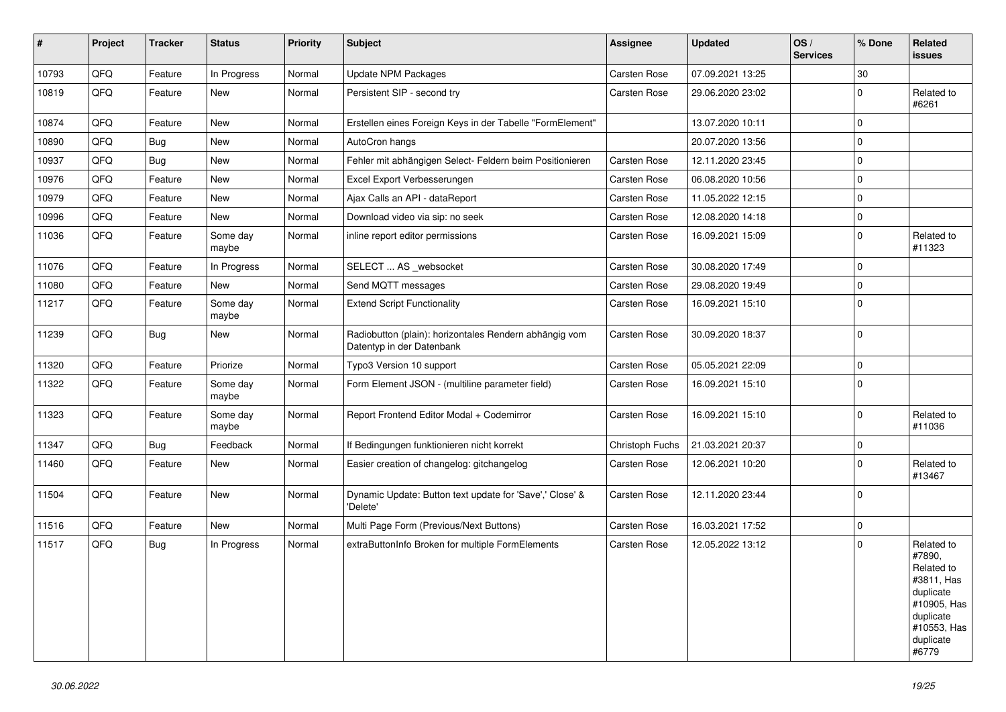| $\vert$ # | Project | <b>Tracker</b> | <b>Status</b>     | Priority | <b>Subject</b>                                                                      | Assignee            | <b>Updated</b>   | OS/<br><b>Services</b> | % Done      | Related<br><b>issues</b>                                                                                                       |
|-----------|---------|----------------|-------------------|----------|-------------------------------------------------------------------------------------|---------------------|------------------|------------------------|-------------|--------------------------------------------------------------------------------------------------------------------------------|
| 10793     | QFQ     | Feature        | In Progress       | Normal   | Update NPM Packages                                                                 | Carsten Rose        | 07.09.2021 13:25 |                        | 30          |                                                                                                                                |
| 10819     | QFQ     | Feature        | <b>New</b>        | Normal   | Persistent SIP - second try                                                         | Carsten Rose        | 29.06.2020 23:02 |                        | $\Omega$    | Related to<br>#6261                                                                                                            |
| 10874     | QFQ     | Feature        | <b>New</b>        | Normal   | Erstellen eines Foreign Keys in der Tabelle "FormElement"                           |                     | 13.07.2020 10:11 |                        | $\mathbf 0$ |                                                                                                                                |
| 10890     | QFQ     | Bug            | <b>New</b>        | Normal   | AutoCron hangs                                                                      |                     | 20.07.2020 13:56 |                        | $\Omega$    |                                                                                                                                |
| 10937     | QFQ     | Bug            | <b>New</b>        | Normal   | Fehler mit abhängigen Select- Feldern beim Positionieren                            | Carsten Rose        | 12.11.2020 23:45 |                        | $\Omega$    |                                                                                                                                |
| 10976     | QFQ     | Feature        | <b>New</b>        | Normal   | Excel Export Verbesserungen                                                         | Carsten Rose        | 06.08.2020 10:56 |                        | $\Omega$    |                                                                                                                                |
| 10979     | QFQ     | Feature        | <b>New</b>        | Normal   | Ajax Calls an API - dataReport                                                      | <b>Carsten Rose</b> | 11.05.2022 12:15 |                        | $\Omega$    |                                                                                                                                |
| 10996     | QFQ     | Feature        | <b>New</b>        | Normal   | Download video via sip: no seek                                                     | <b>Carsten Rose</b> | 12.08.2020 14:18 |                        | $\mathbf 0$ |                                                                                                                                |
| 11036     | QFQ     | Feature        | Some day<br>maybe | Normal   | inline report editor permissions                                                    | <b>Carsten Rose</b> | 16.09.2021 15:09 |                        | $\Omega$    | Related to<br>#11323                                                                                                           |
| 11076     | QFQ     | Feature        | In Progress       | Normal   | SELECT  AS _websocket                                                               | Carsten Rose        | 30.08.2020 17:49 |                        | $\mathbf 0$ |                                                                                                                                |
| 11080     | QFQ     | Feature        | New               | Normal   | Send MQTT messages                                                                  | Carsten Rose        | 29.08.2020 19:49 |                        | $\mathbf 0$ |                                                                                                                                |
| 11217     | QFQ     | Feature        | Some day<br>maybe | Normal   | <b>Extend Script Functionality</b>                                                  | Carsten Rose        | 16.09.2021 15:10 |                        | $\mathbf 0$ |                                                                                                                                |
| 11239     | QFQ     | Bug            | New               | Normal   | Radiobutton (plain): horizontales Rendern abhängig vom<br>Datentyp in der Datenbank | Carsten Rose        | 30.09.2020 18:37 |                        | $\Omega$    |                                                                                                                                |
| 11320     | QFQ     | Feature        | Priorize          | Normal   | Typo3 Version 10 support                                                            | <b>Carsten Rose</b> | 05.05.2021 22:09 |                        | $\mathbf 0$ |                                                                                                                                |
| 11322     | QFQ     | Feature        | Some day<br>maybe | Normal   | Form Element JSON - (multiline parameter field)                                     | Carsten Rose        | 16.09.2021 15:10 |                        | $\mathbf 0$ |                                                                                                                                |
| 11323     | QFQ     | Feature        | Some day<br>maybe | Normal   | Report Frontend Editor Modal + Codemirror                                           | Carsten Rose        | 16.09.2021 15:10 |                        | $\mathbf 0$ | Related to<br>#11036                                                                                                           |
| 11347     | QFQ     | Bug            | Feedback          | Normal   | If Bedingungen funktionieren nicht korrekt                                          | Christoph Fuchs     | 21.03.2021 20:37 |                        | $\mathbf 0$ |                                                                                                                                |
| 11460     | QFQ     | Feature        | <b>New</b>        | Normal   | Easier creation of changelog: gitchangelog                                          | <b>Carsten Rose</b> | 12.06.2021 10:20 |                        | $\Omega$    | Related to<br>#13467                                                                                                           |
| 11504     | QFQ     | Feature        | <b>New</b>        | Normal   | Dynamic Update: Button text update for 'Save',' Close' &<br>'Delete'                | <b>Carsten Rose</b> | 12.11.2020 23:44 |                        | $\Omega$    |                                                                                                                                |
| 11516     | QFQ     | Feature        | New               | Normal   | Multi Page Form (Previous/Next Buttons)                                             | Carsten Rose        | 16.03.2021 17:52 |                        | $\mathbf 0$ |                                                                                                                                |
| 11517     | QFQ     | Bug            | In Progress       | Normal   | extraButtonInfo Broken for multiple FormElements                                    | Carsten Rose        | 12.05.2022 13:12 |                        | $\mathbf 0$ | Related to<br>#7890,<br>Related to<br>#3811, Has<br>duplicate<br>#10905, Has<br>duplicate<br>#10553, Has<br>duplicate<br>#6779 |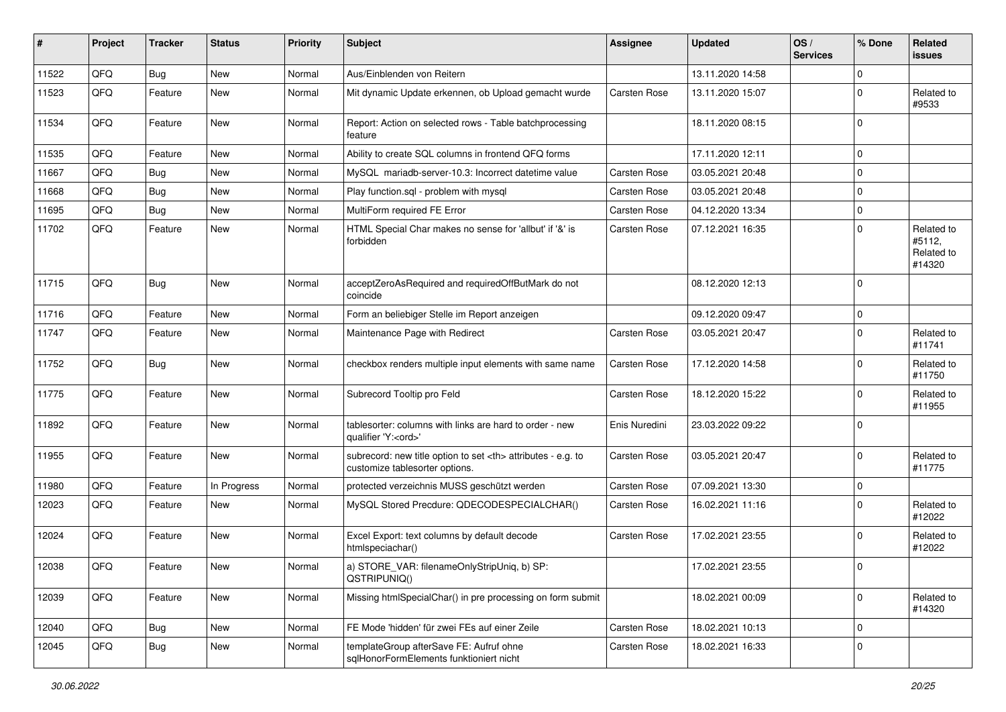| #     | Project | <b>Tracker</b> | <b>Status</b> | <b>Priority</b> | <b>Subject</b>                                                                                       | <b>Assignee</b>                                        | <b>Updated</b>   | OS/<br><b>Services</b> | % Done      | Related<br><b>issues</b>                     |                      |
|-------|---------|----------------|---------------|-----------------|------------------------------------------------------------------------------------------------------|--------------------------------------------------------|------------------|------------------------|-------------|----------------------------------------------|----------------------|
| 11522 | QFQ     | Bug            | New           | Normal          | Aus/Einblenden von Reitern                                                                           |                                                        | 13.11.2020 14:58 |                        | $\Omega$    |                                              |                      |
| 11523 | QFQ     | Feature        | New           | Normal          | Mit dynamic Update erkennen, ob Upload gemacht wurde                                                 | Carsten Rose                                           | 13.11.2020 15:07 |                        | 0           | Related to<br>#9533                          |                      |
| 11534 | QFQ     | Feature        | New           | Normal          | Report: Action on selected rows - Table batchprocessing<br>feature                                   |                                                        | 18.11.2020 08:15 |                        | $\Omega$    |                                              |                      |
| 11535 | QFQ     | Feature        | <b>New</b>    | Normal          | Ability to create SQL columns in frontend QFQ forms                                                  |                                                        | 17.11.2020 12:11 |                        | $\Omega$    |                                              |                      |
| 11667 | QFQ     | <b>Bug</b>     | New           | Normal          | MySQL mariadb-server-10.3: Incorrect datetime value                                                  | Carsten Rose                                           | 03.05.2021 20:48 |                        | $\mathbf 0$ |                                              |                      |
| 11668 | QFQ     | Bug            | <b>New</b>    | Normal          | Play function.sql - problem with mysql                                                               | Carsten Rose                                           | 03.05.2021 20:48 |                        | $\Omega$    |                                              |                      |
| 11695 | QFQ     | <b>Bug</b>     | <b>New</b>    | Normal          | MultiForm required FE Error                                                                          | Carsten Rose                                           | 04.12.2020 13:34 |                        | $\mathbf 0$ |                                              |                      |
| 11702 | QFQ     | Feature        | New           | Normal          | HTML Special Char makes no sense for 'allbut' if '&' is<br>forbidden                                 | Carsten Rose                                           | 07.12.2021 16:35 |                        | $\mathbf 0$ | Related to<br>#5112,<br>Related to<br>#14320 |                      |
| 11715 | QFQ     | Bug            | New           | Normal          | acceptZeroAsRequired and requiredOffButMark do not<br>coincide                                       |                                                        | 08.12.2020 12:13 |                        | $\Omega$    |                                              |                      |
| 11716 | QFQ     | Feature        | New           | Normal          | Form an beliebiger Stelle im Report anzeigen                                                         |                                                        | 09.12.2020 09:47 |                        | $\Omega$    |                                              |                      |
| 11747 | QFQ     | Feature        | New           | Normal          | Maintenance Page with Redirect                                                                       | Carsten Rose                                           | 03.05.2021 20:47 |                        | $\mathbf 0$ | Related to<br>#11741                         |                      |
| 11752 | QFQ     | Bug            | <b>New</b>    | Normal          | checkbox renders multiple input elements with same name                                              | Carsten Rose                                           | 17.12.2020 14:58 |                        | $\Omega$    | Related to<br>#11750                         |                      |
| 11775 | QFQ     | Feature        | New           | Normal          | Subrecord Tooltip pro Feld                                                                           | Carsten Rose                                           | 18.12.2020 15:22 |                        | $\Omega$    | Related to<br>#11955                         |                      |
| 11892 | QFQ     | Feature        | New           | Normal          | tablesorter: columns with links are hard to order - new<br>qualifier 'Y: <ord>'</ord>                | Enis Nuredini                                          | 23.03.2022 09:22 |                        | $\Omega$    |                                              |                      |
| 11955 | QFQ     | Feature        | New           | Normal          | subrecord: new title option to set <th> attributes - e.g. to<br/>customize tablesorter options.</th> | attributes - e.g. to<br>customize tablesorter options. | Carsten Rose     | 03.05.2021 20:47       |             | $\Omega$                                     | Related to<br>#11775 |
| 11980 | QFQ     | Feature        | In Progress   | Normal          | protected verzeichnis MUSS geschützt werden                                                          | Carsten Rose                                           | 07.09.2021 13:30 |                        | $\mathbf 0$ |                                              |                      |
| 12023 | QFQ     | Feature        | <b>New</b>    | Normal          | MySQL Stored Precdure: QDECODESPECIALCHAR()                                                          | Carsten Rose                                           | 16.02.2021 11:16 |                        | $\Omega$    | Related to<br>#12022                         |                      |
| 12024 | QFQ     | Feature        | New           | Normal          | Excel Export: text columns by default decode<br>htmlspeciachar()                                     | Carsten Rose                                           | 17.02.2021 23:55 |                        | $\Omega$    | Related to<br>#12022                         |                      |
| 12038 | QFQ     | Feature        | New           | Normal          | a) STORE_VAR: filenameOnlyStripUniq, b) SP:<br>QSTRIPUNIQ()                                          |                                                        | 17.02.2021 23:55 |                        | $\Omega$    |                                              |                      |
| 12039 | QFQ     | Feature        | New           | Normal          | Missing htmlSpecialChar() in pre processing on form submit                                           |                                                        | 18.02.2021 00:09 |                        | $\mathbf 0$ | Related to<br>#14320                         |                      |
| 12040 | QFQ     | Bug            | New           | Normal          | FE Mode 'hidden' für zwei FEs auf einer Zeile                                                        | Carsten Rose                                           | 18.02.2021 10:13 |                        | $\mathbf 0$ |                                              |                      |
| 12045 | QFQ     | Bug            | New           | Normal          | templateGroup afterSave FE: Aufruf ohne<br>sqlHonorFormElements funktioniert nicht                   | Carsten Rose                                           | 18.02.2021 16:33 |                        | $\mathbf 0$ |                                              |                      |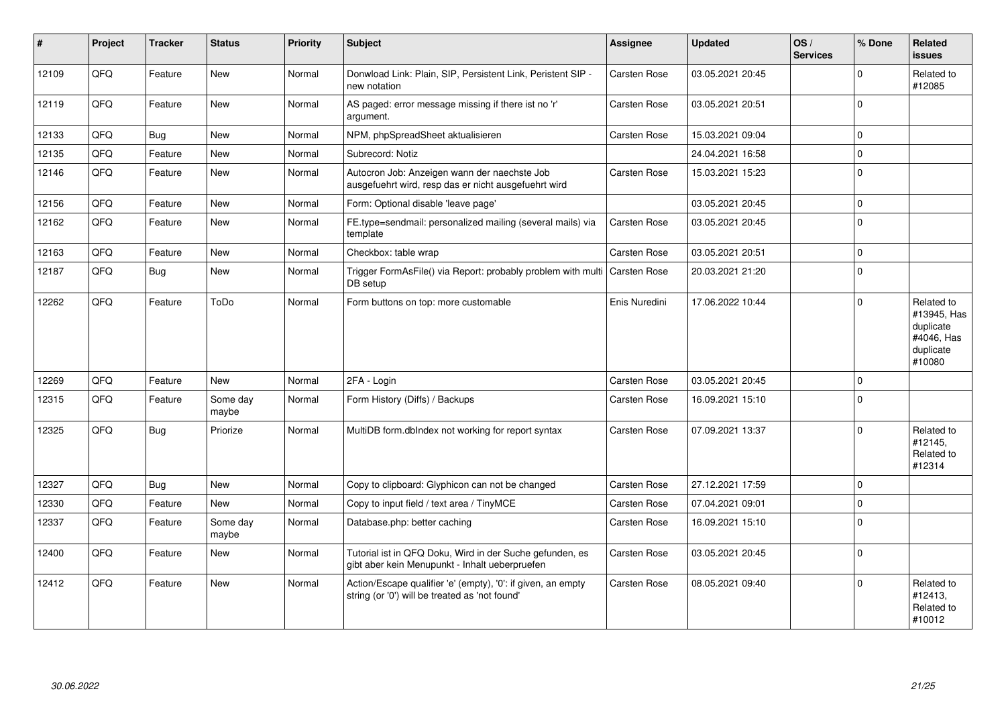| #     | Project | <b>Tracker</b> | <b>Status</b>     | <b>Priority</b> | Subject                                                                                                        | Assignee            | <b>Updated</b>   | OS/<br><b>Services</b> | % Done       | Related<br><b>issues</b>                                                    |
|-------|---------|----------------|-------------------|-----------------|----------------------------------------------------------------------------------------------------------------|---------------------|------------------|------------------------|--------------|-----------------------------------------------------------------------------|
| 12109 | QFQ     | Feature        | <b>New</b>        | Normal          | Donwload Link: Plain, SIP, Persistent Link, Peristent SIP -<br>new notation                                    | Carsten Rose        | 03.05.2021 20:45 |                        | <sup>0</sup> | Related to<br>#12085                                                        |
| 12119 | QFQ     | Feature        | New               | Normal          | AS paged: error message missing if there ist no 'r'<br>argument.                                               | Carsten Rose        | 03.05.2021 20:51 |                        | $\Omega$     |                                                                             |
| 12133 | QFQ     | <b>Bug</b>     | <b>New</b>        | Normal          | NPM, phpSpreadSheet aktualisieren                                                                              | <b>Carsten Rose</b> | 15.03.2021 09:04 |                        | $\Omega$     |                                                                             |
| 12135 | QFQ     | Feature        | <b>New</b>        | Normal          | Subrecord: Notiz                                                                                               |                     | 24.04.2021 16:58 |                        | $\Omega$     |                                                                             |
| 12146 | QFQ     | Feature        | New               | Normal          | Autocron Job: Anzeigen wann der naechste Job<br>ausgefuehrt wird, resp das er nicht ausgefuehrt wird           | <b>Carsten Rose</b> | 15.03.2021 15:23 |                        | 0            |                                                                             |
| 12156 | QFQ     | Feature        | <b>New</b>        | Normal          | Form: Optional disable 'leave page'                                                                            |                     | 03.05.2021 20:45 |                        | $\Omega$     |                                                                             |
| 12162 | QFQ     | Feature        | <b>New</b>        | Normal          | FE.type=sendmail: personalized mailing (several mails) via<br>template                                         | <b>Carsten Rose</b> | 03.05.2021 20:45 |                        | 0            |                                                                             |
| 12163 | QFQ     | Feature        | <b>New</b>        | Normal          | Checkbox: table wrap                                                                                           | <b>Carsten Rose</b> | 03.05.2021 20:51 |                        | $\Omega$     |                                                                             |
| 12187 | QFQ     | Bug            | <b>New</b>        | Normal          | Trigger FormAsFile() via Report: probably problem with multi Carsten Rose<br>DB setup                          |                     | 20.03.2021 21:20 |                        | 0            |                                                                             |
| 12262 | QFQ     | Feature        | ToDo              | Normal          | Form buttons on top: more customable                                                                           | Enis Nuredini       | 17.06.2022 10:44 |                        | $\Omega$     | Related to<br>#13945, Has<br>duplicate<br>#4046, Has<br>duplicate<br>#10080 |
| 12269 | QFQ     | Feature        | <b>New</b>        | Normal          | 2FA - Login                                                                                                    | Carsten Rose        | 03.05.2021 20:45 |                        | $\Omega$     |                                                                             |
| 12315 | QFQ     | Feature        | Some day<br>maybe | Normal          | Form History (Diffs) / Backups                                                                                 | <b>Carsten Rose</b> | 16.09.2021 15:10 |                        | $\Omega$     |                                                                             |
| 12325 | QFQ     | <b>Bug</b>     | Priorize          | Normal          | MultiDB form.dblndex not working for report syntax                                                             | Carsten Rose        | 07.09.2021 13:37 |                        | $\Omega$     | Related to<br>#12145,<br>Related to<br>#12314                               |
| 12327 | QFQ     | Bug            | <b>New</b>        | Normal          | Copy to clipboard: Glyphicon can not be changed                                                                | <b>Carsten Rose</b> | 27.12.2021 17:59 |                        | $\Omega$     |                                                                             |
| 12330 | QFQ     | Feature        | <b>New</b>        | Normal          | Copy to input field / text area / TinyMCE                                                                      | Carsten Rose        | 07.04.2021 09:01 |                        | $\Omega$     |                                                                             |
| 12337 | QFQ     | Feature        | Some day<br>maybe | Normal          | Database.php: better caching                                                                                   | Carsten Rose        | 16.09.2021 15:10 |                        | $\Omega$     |                                                                             |
| 12400 | QFQ     | Feature        | New               | Normal          | Tutorial ist in QFQ Doku, Wird in der Suche gefunden, es<br>gibt aber kein Menupunkt - Inhalt ueberpruefen     | Carsten Rose        | 03.05.2021 20:45 |                        | $\Omega$     |                                                                             |
| 12412 | QFQ     | Feature        | <b>New</b>        | Normal          | Action/Escape qualifier 'e' (empty), '0': if given, an empty<br>string (or '0') will be treated as 'not found' | Carsten Rose        | 08.05.2021 09:40 |                        | $\Omega$     | Related to<br>#12413.<br>Related to<br>#10012                               |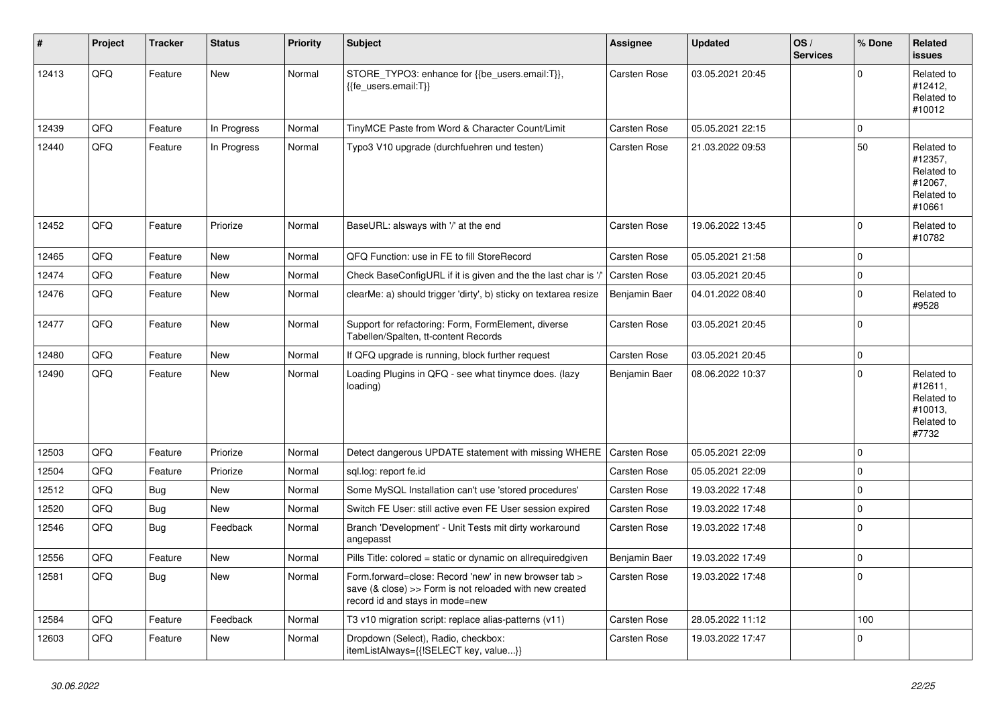| #     | Project | <b>Tracker</b> | <b>Status</b> | <b>Priority</b> | <b>Subject</b>                                                                                                                                      | Assignee            | <b>Updated</b>   | OS/<br><b>Services</b> | % Done      | Related<br><b>issues</b>                                               |
|-------|---------|----------------|---------------|-----------------|-----------------------------------------------------------------------------------------------------------------------------------------------------|---------------------|------------------|------------------------|-------------|------------------------------------------------------------------------|
| 12413 | QFQ     | Feature        | <b>New</b>    | Normal          | STORE_TYPO3: enhance for {{be_users.email:T}},<br>{{fe users.email:T}}                                                                              | Carsten Rose        | 03.05.2021 20:45 |                        | $\Omega$    | Related to<br>#12412,<br>Related to<br>#10012                          |
| 12439 | QFQ     | Feature        | In Progress   | Normal          | TinyMCE Paste from Word & Character Count/Limit                                                                                                     | Carsten Rose        | 05.05.2021 22:15 |                        | $\mathbf 0$ |                                                                        |
| 12440 | QFQ     | Feature        | In Progress   | Normal          | Typo3 V10 upgrade (durchfuehren und testen)                                                                                                         | Carsten Rose        | 21.03.2022 09:53 |                        | 50          | Related to<br>#12357,<br>Related to<br>#12067,<br>Related to<br>#10661 |
| 12452 | QFQ     | Feature        | Priorize      | Normal          | BaseURL: alsways with '/' at the end                                                                                                                | Carsten Rose        | 19.06.2022 13:45 |                        | $\mathbf 0$ | Related to<br>#10782                                                   |
| 12465 | QFQ     | Feature        | <b>New</b>    | Normal          | QFQ Function: use in FE to fill StoreRecord                                                                                                         | Carsten Rose        | 05.05.2021 21:58 |                        | $\mathbf 0$ |                                                                        |
| 12474 | QFQ     | Feature        | <b>New</b>    | Normal          | Check BaseConfigURL if it is given and the the last char is '/                                                                                      | <b>Carsten Rose</b> | 03.05.2021 20:45 |                        | $\mathbf 0$ |                                                                        |
| 12476 | QFQ     | Feature        | <b>New</b>    | Normal          | clearMe: a) should trigger 'dirty', b) sticky on textarea resize                                                                                    | Benjamin Baer       | 04.01.2022 08:40 |                        | $\Omega$    | Related to<br>#9528                                                    |
| 12477 | QFQ     | Feature        | <b>New</b>    | Normal          | Support for refactoring: Form, FormElement, diverse<br>Tabellen/Spalten, tt-content Records                                                         | Carsten Rose        | 03.05.2021 20:45 |                        | $\Omega$    |                                                                        |
| 12480 | QFQ     | Feature        | <b>New</b>    | Normal          | If QFQ upgrade is running, block further request                                                                                                    | Carsten Rose        | 03.05.2021 20:45 |                        | $\pmb{0}$   |                                                                        |
| 12490 | QFQ     | Feature        | <b>New</b>    | Normal          | Loading Plugins in QFQ - see what tinymce does. (lazy<br>loading)                                                                                   | Benjamin Baer       | 08.06.2022 10:37 |                        | $\Omega$    | Related to<br>#12611,<br>Related to<br>#10013,<br>Related to<br>#7732  |
| 12503 | QFQ     | Feature        | Priorize      | Normal          | Detect dangerous UPDATE statement with missing WHERE                                                                                                | <b>Carsten Rose</b> | 05.05.2021 22:09 |                        | $\Omega$    |                                                                        |
| 12504 | QFQ     | Feature        | Priorize      | Normal          | sql.log: report fe.id                                                                                                                               | Carsten Rose        | 05.05.2021 22:09 |                        | $\mathbf 0$ |                                                                        |
| 12512 | QFQ     | Bug            | <b>New</b>    | Normal          | Some MySQL Installation can't use 'stored procedures'                                                                                               | Carsten Rose        | 19.03.2022 17:48 |                        | $\mathbf 0$ |                                                                        |
| 12520 | QFQ     | Bug            | <b>New</b>    | Normal          | Switch FE User: still active even FE User session expired                                                                                           | Carsten Rose        | 19.03.2022 17:48 |                        | $\mathbf 0$ |                                                                        |
| 12546 | QFQ     | Bug            | Feedback      | Normal          | Branch 'Development' - Unit Tests mit dirty workaround<br>angepasst                                                                                 | Carsten Rose        | 19.03.2022 17:48 |                        | $\Omega$    |                                                                        |
| 12556 | QFQ     | Feature        | <b>New</b>    | Normal          | Pills Title: colored = static or dynamic on allrequiredgiven                                                                                        | Benjamin Baer       | 19.03.2022 17:49 |                        | $\mathbf 0$ |                                                                        |
| 12581 | QFQ     | Bug            | <b>New</b>    | Normal          | Form.forward=close: Record 'new' in new browser tab ><br>save (& close) >> Form is not reloaded with new created<br>record id and stays in mode=new | Carsten Rose        | 19.03.2022 17:48 |                        | $\Omega$    |                                                                        |
| 12584 | QFQ     | Feature        | Feedback      | Normal          | T3 v10 migration script: replace alias-patterns (v11)                                                                                               | Carsten Rose        | 28.05.2022 11:12 |                        | 100         |                                                                        |
| 12603 | QFQ     | Feature        | <b>New</b>    | Normal          | Dropdown (Select), Radio, checkbox:<br>itemListAlways={{!SELECT key, value}}                                                                        | Carsten Rose        | 19.03.2022 17:47 |                        | $\Omega$    |                                                                        |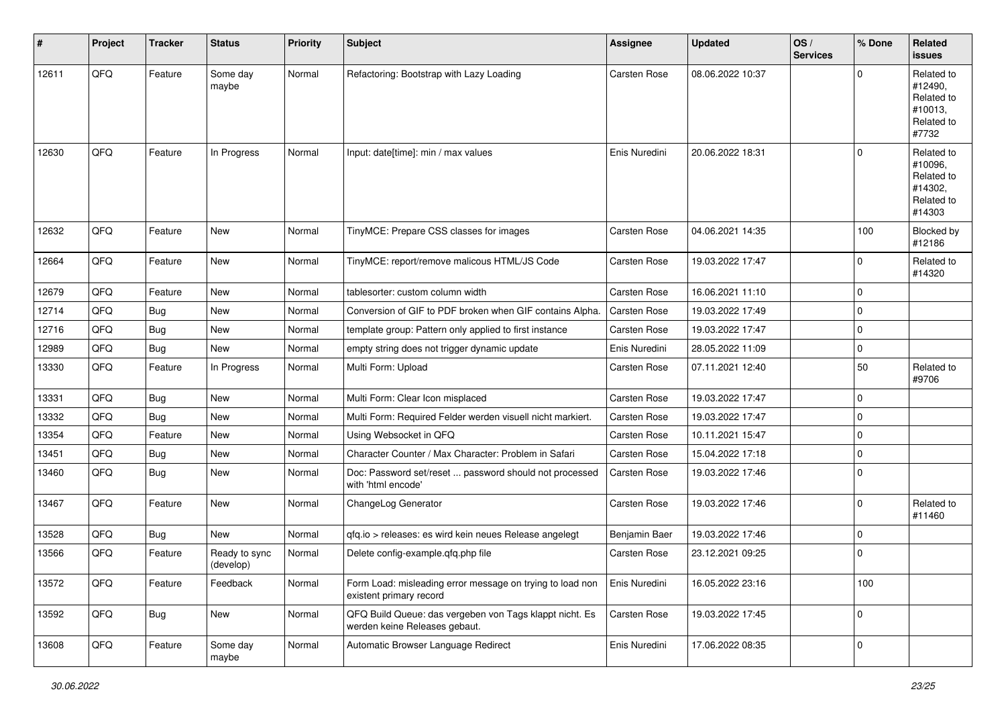| ∦     | Project | <b>Tracker</b> | <b>Status</b>              | <b>Priority</b> | <b>Subject</b>                                                                           | Assignee      | <b>Updated</b>   | OS/<br><b>Services</b> | % Done      | Related<br><b>issues</b>                                               |
|-------|---------|----------------|----------------------------|-----------------|------------------------------------------------------------------------------------------|---------------|------------------|------------------------|-------------|------------------------------------------------------------------------|
| 12611 | QFQ     | Feature        | Some day<br>maybe          | Normal          | Refactoring: Bootstrap with Lazy Loading                                                 | Carsten Rose  | 08.06.2022 10:37 |                        | $\Omega$    | Related to<br>#12490,<br>Related to<br>#10013,<br>Related to<br>#7732  |
| 12630 | QFQ     | Feature        | In Progress                | Normal          | Input: date[time]: min / max values                                                      | Enis Nuredini | 20.06.2022 18:31 |                        | $\mathbf 0$ | Related to<br>#10096,<br>Related to<br>#14302,<br>Related to<br>#14303 |
| 12632 | QFQ     | Feature        | <b>New</b>                 | Normal          | TinyMCE: Prepare CSS classes for images                                                  | Carsten Rose  | 04.06.2021 14:35 |                        | 100         | Blocked by<br>#12186                                                   |
| 12664 | QFQ     | Feature        | <b>New</b>                 | Normal          | TinyMCE: report/remove malicous HTML/JS Code                                             | Carsten Rose  | 19.03.2022 17:47 |                        | 0           | Related to<br>#14320                                                   |
| 12679 | QFQ     | Feature        | <b>New</b>                 | Normal          | tablesorter: custom column width                                                         | Carsten Rose  | 16.06.2021 11:10 |                        | $\mathbf 0$ |                                                                        |
| 12714 | QFQ     | <b>Bug</b>     | <b>New</b>                 | Normal          | Conversion of GIF to PDF broken when GIF contains Alpha.                                 | Carsten Rose  | 19.03.2022 17:49 |                        | $\mathbf 0$ |                                                                        |
| 12716 | QFQ     | Bug            | New                        | Normal          | template group: Pattern only applied to first instance                                   | Carsten Rose  | 19.03.2022 17:47 |                        | $\mathbf 0$ |                                                                        |
| 12989 | QFQ     | Bug            | <b>New</b>                 | Normal          | empty string does not trigger dynamic update                                             | Enis Nuredini | 28.05.2022 11:09 |                        | $\mathbf 0$ |                                                                        |
| 13330 | QFQ     | Feature        | In Progress                | Normal          | Multi Form: Upload                                                                       | Carsten Rose  | 07.11.2021 12:40 |                        | 50          | Related to<br>#9706                                                    |
| 13331 | QFQ     | Bug            | <b>New</b>                 | Normal          | Multi Form: Clear Icon misplaced                                                         | Carsten Rose  | 19.03.2022 17:47 |                        | $\mathbf 0$ |                                                                        |
| 13332 | QFQ     | Bug            | <b>New</b>                 | Normal          | Multi Form: Required Felder werden visuell nicht markiert.                               | Carsten Rose  | 19.03.2022 17:47 |                        | $\mathbf 0$ |                                                                        |
| 13354 | QFQ     | Feature        | <b>New</b>                 | Normal          | Using Websocket in QFQ                                                                   | Carsten Rose  | 10.11.2021 15:47 |                        | $\mathbf 0$ |                                                                        |
| 13451 | QFQ     | Bug            | <b>New</b>                 | Normal          | Character Counter / Max Character: Problem in Safari                                     | Carsten Rose  | 15.04.2022 17:18 |                        | $\mathbf 0$ |                                                                        |
| 13460 | QFQ     | Bug            | <b>New</b>                 | Normal          | Doc: Password set/reset  password should not processed<br>with 'html encode'             | Carsten Rose  | 19.03.2022 17:46 |                        | 0           |                                                                        |
| 13467 | QFQ     | Feature        | <b>New</b>                 | Normal          | ChangeLog Generator                                                                      | Carsten Rose  | 19.03.2022 17:46 |                        | $\mathbf 0$ | Related to<br>#11460                                                   |
| 13528 | QFQ     | Bug            | New                        | Normal          | gfg.io > releases: es wird kein neues Release angelegt                                   | Benjamin Baer | 19.03.2022 17:46 |                        | $\mathbf 0$ |                                                                        |
| 13566 | QFQ     | Feature        | Ready to sync<br>(develop) | Normal          | Delete config-example.qfq.php file                                                       | Carsten Rose  | 23.12.2021 09:25 |                        | $\mathbf 0$ |                                                                        |
| 13572 | QFQ     | Feature        | Feedback                   | Normal          | Form Load: misleading error message on trying to load non<br>existent primary record     | Enis Nuredini | 16.05.2022 23:16 |                        | 100         |                                                                        |
| 13592 | QFQ     | <b>Bug</b>     | New                        | Normal          | QFQ Build Queue: das vergeben von Tags klappt nicht. Es<br>werden keine Releases gebaut. | Carsten Rose  | 19.03.2022 17:45 |                        | $\mathbf 0$ |                                                                        |
| 13608 | QFQ     | Feature        | Some day<br>maybe          | Normal          | Automatic Browser Language Redirect                                                      | Enis Nuredini | 17.06.2022 08:35 |                        | $\mathsf 0$ |                                                                        |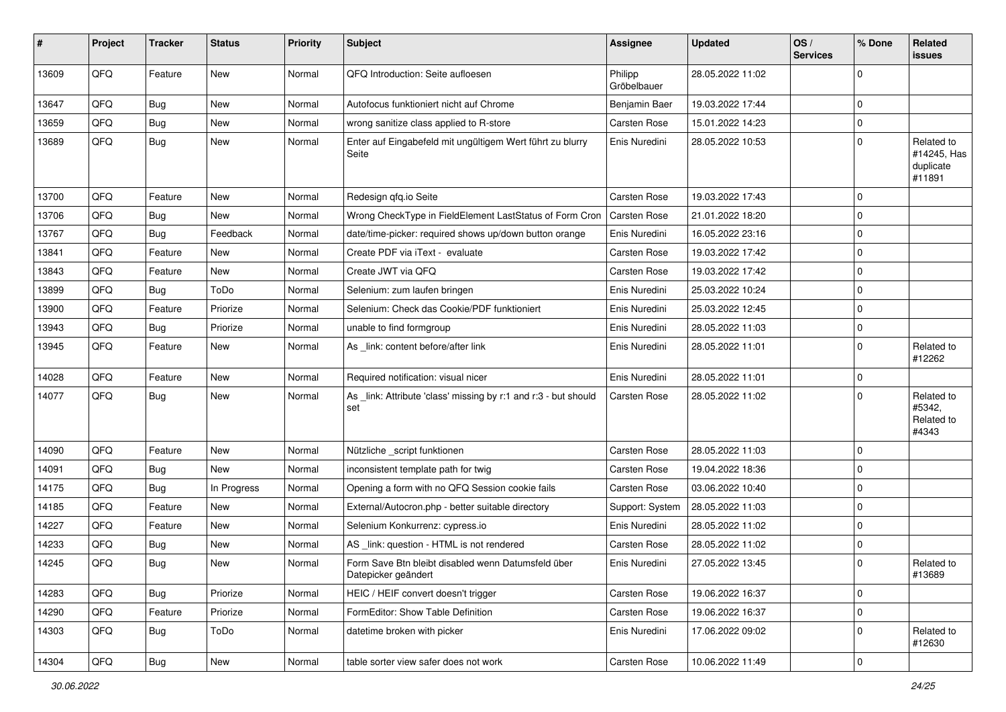| #     | Project | <b>Tracker</b> | <b>Status</b> | <b>Priority</b> | Subject                                                                   | <b>Assignee</b>        | <b>Updated</b>   | OS/<br><b>Services</b> | % Done      | Related<br>issues                                |
|-------|---------|----------------|---------------|-----------------|---------------------------------------------------------------------------|------------------------|------------------|------------------------|-------------|--------------------------------------------------|
| 13609 | QFQ     | Feature        | <b>New</b>    | Normal          | QFQ Introduction: Seite aufloesen                                         | Philipp<br>Gröbelbauer | 28.05.2022 11:02 |                        | $\Omega$    |                                                  |
| 13647 | QFQ     | <b>Bug</b>     | <b>New</b>    | Normal          | Autofocus funktioniert nicht auf Chrome                                   | Benjamin Baer          | 19.03.2022 17:44 |                        | $\Omega$    |                                                  |
| 13659 | QFQ     | <b>Bug</b>     | <b>New</b>    | Normal          | wrong sanitize class applied to R-store                                   | Carsten Rose           | 15.01.2022 14:23 |                        | $\mathbf 0$ |                                                  |
| 13689 | QFQ     | <b>Bug</b>     | New           | Normal          | Enter auf Eingabefeld mit ungültigem Wert führt zu blurry<br>Seite        | Enis Nuredini          | 28.05.2022 10:53 |                        | $\Omega$    | Related to<br>#14245, Has<br>duplicate<br>#11891 |
| 13700 | QFQ     | Feature        | <b>New</b>    | Normal          | Redesign qfq.io Seite                                                     | Carsten Rose           | 19.03.2022 17:43 |                        | $\Omega$    |                                                  |
| 13706 | QFQ     | Bug            | New           | Normal          | Wrong CheckType in FieldElement LastStatus of Form Cron                   | Carsten Rose           | 21.01.2022 18:20 |                        | $\mathbf 0$ |                                                  |
| 13767 | QFQ     | <b>Bug</b>     | Feedback      | Normal          | date/time-picker: required shows up/down button orange                    | Enis Nuredini          | 16.05.2022 23:16 |                        | $\Omega$    |                                                  |
| 13841 | QFQ     | Feature        | New           | Normal          | Create PDF via iText - evaluate                                           | Carsten Rose           | 19.03.2022 17:42 |                        | 0           |                                                  |
| 13843 | QFQ     | Feature        | New           | Normal          | Create JWT via QFQ                                                        | Carsten Rose           | 19.03.2022 17:42 |                        | $\Omega$    |                                                  |
| 13899 | QFQ     | Bug            | ToDo          | Normal          | Selenium: zum laufen bringen                                              | Enis Nuredini          | 25.03.2022 10:24 |                        | $\mathbf 0$ |                                                  |
| 13900 | QFQ     | Feature        | Priorize      | Normal          | Selenium: Check das Cookie/PDF funktioniert                               | Enis Nuredini          | 25.03.2022 12:45 |                        | $\mathbf 0$ |                                                  |
| 13943 | QFQ     | Bug            | Priorize      | Normal          | unable to find formgroup                                                  | Enis Nuredini          | 28.05.2022 11:03 |                        | $\mathbf 0$ |                                                  |
| 13945 | QFQ     | Feature        | New           | Normal          | As _link: content before/after link                                       | Enis Nuredini          | 28.05.2022 11:01 |                        | $\mathbf 0$ | Related to<br>#12262                             |
| 14028 | QFQ     | Feature        | New           | Normal          | Required notification: visual nicer                                       | Enis Nuredini          | 28.05.2022 11:01 |                        | $\mathbf 0$ |                                                  |
| 14077 | QFQ     | <b>Bug</b>     | New           | Normal          | As _link: Attribute 'class' missing by r:1 and r:3 - but should<br>set    | Carsten Rose           | 28.05.2022 11:02 |                        | $\Omega$    | Related to<br>#5342,<br>Related to<br>#4343      |
| 14090 | QFQ     | Feature        | New           | Normal          | Nützliche script funktionen                                               | Carsten Rose           | 28.05.2022 11:03 |                        | $\Omega$    |                                                  |
| 14091 | QFQ     | Bug            | New           | Normal          | inconsistent template path for twig                                       | Carsten Rose           | 19.04.2022 18:36 |                        | $\Omega$    |                                                  |
| 14175 | QFQ     | Bug            | In Progress   | Normal          | Opening a form with no QFQ Session cookie fails                           | Carsten Rose           | 03.06.2022 10:40 |                        | 0           |                                                  |
| 14185 | QFQ     | Feature        | New           | Normal          | External/Autocron.php - better suitable directory                         | Support: System        | 28.05.2022 11:03 |                        | $\mathbf 0$ |                                                  |
| 14227 | QFQ     | Feature        | New           | Normal          | Selenium Konkurrenz: cypress.io                                           | Enis Nuredini          | 28.05.2022 11:02 |                        | $\mathbf 0$ |                                                  |
| 14233 | QFQ     | <b>Bug</b>     | New           | Normal          | AS _link: question - HTML is not rendered                                 | Carsten Rose           | 28.05.2022 11:02 |                        | 0           |                                                  |
| 14245 | QFQ     | <b>Bug</b>     | New           | Normal          | Form Save Btn bleibt disabled wenn Datumsfeld über<br>Datepicker geändert | Enis Nuredini          | 27.05.2022 13:45 |                        | $\mathbf 0$ | Related to<br>#13689                             |
| 14283 | QFQ     | Bug            | Priorize      | Normal          | HEIC / HEIF convert doesn't trigger                                       | Carsten Rose           | 19.06.2022 16:37 |                        | $\Omega$    |                                                  |
| 14290 | QFQ     | Feature        | Priorize      | Normal          | FormEditor: Show Table Definition                                         | Carsten Rose           | 19.06.2022 16:37 |                        | $\mathbf 0$ |                                                  |
| 14303 | QFQ     | Bug            | ToDo          | Normal          | datetime broken with picker                                               | Enis Nuredini          | 17.06.2022 09:02 |                        | $\mathbf 0$ | Related to<br>#12630                             |
| 14304 | QFQ     | Bug            | New           | Normal          | table sorter view safer does not work                                     | Carsten Rose           | 10.06.2022 11:49 |                        | $\mathbf 0$ |                                                  |